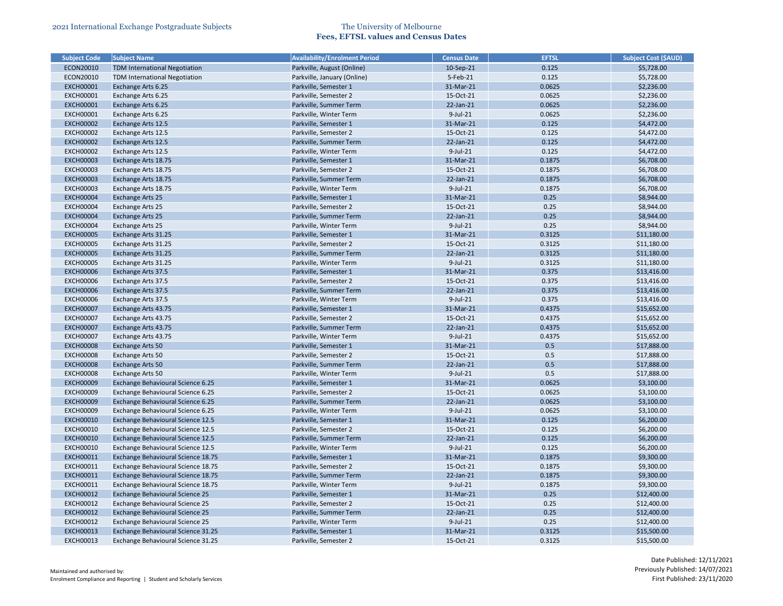| <b>Subject Code</b>                  | <b>Subject Name</b>                  | <b>Availability/Enrolment Period</b>             | Census Date           | <b>EFTSL</b> | <b>Subject Cost (\$AUD)</b> |
|--------------------------------------|--------------------------------------|--------------------------------------------------|-----------------------|--------------|-----------------------------|
| ECON20010                            | <b>TDM International Negotiation</b> | Parkville, August (Online)                       | 10-Sep-21             | 0.125        | \$5,728.00                  |
| ECON20010                            | TDM International Negotiation        | Parkville, January (Online)                      | 5-Feb-21              | 0.125        | \$5,728.00                  |
| <b>EXCH00001</b>                     | Exchange Arts 6.25                   | Parkville, Semester 1                            | 31-Mar-21             | 0.0625       | \$2,236.00                  |
| <b>EXCH00001</b>                     | Exchange Arts 6.25                   | Parkville, Semester 2                            | 15-Oct-21             | 0.0625       | \$2,236.00                  |
| <b>EXCH00001</b>                     | Exchange Arts 6.25                   | Parkville, Summer Term                           | 22-Jan-21             | 0.0625       | \$2,236.00                  |
| <b>EXCH00001</b>                     | Exchange Arts 6.25                   | Parkville, Winter Term                           | 9-Jul-21              | 0.0625       | \$2,236.00                  |
| <b>EXCH00002</b>                     | Exchange Arts 12.5                   | Parkville, Semester 1                            | 31-Mar-21             | 0.125        | \$4,472.00                  |
| <b>EXCH00002</b>                     | Exchange Arts 12.5                   | Parkville, Semester 2                            | 15-Oct-21             | 0.125        | \$4,472.00                  |
| <b>EXCH00002</b>                     | Exchange Arts 12.5                   | Parkville, Summer Term                           | 22-Jan-21             | 0.125        | \$4,472.00                  |
| <b>EXCH00002</b>                     | Exchange Arts 12.5                   | Parkville, Winter Term                           | 9-Jul-21              | 0.125        | \$4,472.00                  |
| <b>EXCH00003</b>                     | Exchange Arts 18.75                  | Parkville, Semester 1                            | 31-Mar-21             | 0.1875       | \$6,708.00                  |
| <b>EXCH00003</b>                     | Exchange Arts 18.75                  | Parkville, Semester 2                            | 15-Oct-21             | 0.1875       | \$6,708.00                  |
| <b>EXCH00003</b>                     | Exchange Arts 18.75                  | Parkville, Summer Term                           | 22-Jan-21             | 0.1875       | \$6,708.00                  |
| <b>EXCH00003</b>                     | Exchange Arts 18.75                  | Parkville, Winter Term                           | 9-Jul-21              | 0.1875       | \$6,708.00                  |
| <b>EXCH00004</b>                     | <b>Exchange Arts 25</b>              | Parkville, Semester 1                            | 31-Mar-21             | 0.25         | \$8,944.00                  |
| <b>EXCH00004</b>                     | Exchange Arts 25                     | Parkville, Semester 2                            | 15-Oct-21             | 0.25         | \$8,944.00                  |
| <b>EXCH00004</b>                     | <b>Exchange Arts 25</b>              | Parkville, Summer Term                           | 22-Jan-21             | 0.25         | \$8,944.00                  |
| <b>EXCH00004</b>                     | <b>Exchange Arts 25</b>              | Parkville, Winter Term                           | $9$ -Jul-21           | 0.25         | \$8,944.00                  |
| <b>EXCH00005</b>                     | Exchange Arts 31.25                  | Parkville, Semester 1                            | 31-Mar-21             | 0.3125       | \$11,180.00                 |
| <b>EXCH00005</b>                     | Exchange Arts 31.25                  | Parkville, Semester 2                            | 15-Oct-21             | 0.3125       | \$11,180.00                 |
| <b>EXCH00005</b>                     | Exchange Arts 31.25                  | Parkville, Summer Term                           | 22-Jan-21             | 0.3125       | \$11,180.00                 |
| <b>EXCH00005</b>                     | Exchange Arts 31.25                  | Parkville, Winter Term                           | 9-Jul-21              | 0.3125       | \$11,180.00                 |
| <b>EXCH00006</b>                     | Exchange Arts 37.5                   | Parkville, Semester 1                            | 31-Mar-21             | 0.375        | \$13,416.00                 |
| <b>EXCH00006</b>                     | Exchange Arts 37.5                   | Parkville, Semester 2                            | 15-Oct-21             | 0.375        | \$13,416.00                 |
| <b>EXCH00006</b>                     | Exchange Arts 37.5                   | Parkville, Summer Term                           | 22-Jan-21             | 0.375        | \$13,416.00                 |
| <b>EXCH00006</b>                     | Exchange Arts 37.5                   | Parkville, Winter Term                           | 9-Jul-21              | 0.375        | \$13,416.00                 |
| <b>EXCH00007</b>                     | Exchange Arts 43.75                  | Parkville, Semester 1                            | 31-Mar-21             | 0.4375       | \$15,652.00                 |
| <b>EXCH00007</b>                     | Exchange Arts 43.75                  | Parkville, Semester 2                            | 15-Oct-21             | 0.4375       | \$15,652.00                 |
| <b>EXCH00007</b>                     | Exchange Arts 43.75                  | Parkville, Summer Term                           | 22-Jan-21             | 0.4375       | \$15,652.00                 |
| <b>EXCH00007</b>                     | Exchange Arts 43.75                  | Parkville, Winter Term                           | $9$ -Jul-21           | 0.4375       | \$15,652.00                 |
| <b>EXCH00008</b>                     | Exchange Arts 50                     | Parkville, Semester 1                            | 31-Mar-21             | 0.5          | \$17,888.00                 |
| <b>EXCH00008</b>                     | Exchange Arts 50                     | Parkville, Semester 2                            | 15-Oct-21             | 0.5          | \$17,888.00                 |
| <b>EXCH00008</b>                     | Exchange Arts 50                     | Parkville, Summer Term                           | 22-Jan-21             | 0.5          | \$17,888.00                 |
| <b>EXCH00008</b>                     | Exchange Arts 50                     | Parkville, Winter Term                           | $9$ -Jul-21           | 0.5          | \$17,888.00                 |
| <b>EXCH00009</b>                     | Exchange Behavioural Science 6.25    | Parkville, Semester 1                            | 31-Mar-21             | 0.0625       | \$3,100.00                  |
| <b>EXCH00009</b>                     | Exchange Behavioural Science 6.25    | Parkville, Semester 2                            | 15-Oct-21             | 0.0625       | \$3,100.00                  |
| <b>EXCH00009</b>                     | Exchange Behavioural Science 6.25    | Parkville, Summer Term                           | 22-Jan-21             | 0.0625       | \$3,100.00                  |
| <b>EXCH00009</b>                     | Exchange Behavioural Science 6.25    | Parkville, Winter Term                           | 9-Jul-21              | 0.0625       | \$3,100.00                  |
| <b>EXCH00010</b>                     | Exchange Behavioural Science 12.5    | Parkville, Semester 1                            | 31-Mar-21             | 0.125        | \$6,200.00                  |
| <b>EXCH00010</b>                     | Exchange Behavioural Science 12.5    | Parkville, Semester 2                            | 15-Oct-21             | 0.125        | \$6,200.00                  |
| <b>EXCH00010</b>                     | Exchange Behavioural Science 12.5    | Parkville, Summer Term                           | 22-Jan-21             | 0.125        | \$6,200.00                  |
| <b>EXCH00010</b>                     | Exchange Behavioural Science 12.5    | Parkville, Winter Term                           | 9-Jul-21              | 0.125        | \$6,200.00                  |
| <b>EXCH00011</b>                     | Exchange Behavioural Science 18.75   | Parkville, Semester 1                            | 31-Mar-21             | 0.1875       | \$9,300.00                  |
| <b>EXCH00011</b>                     | Exchange Behavioural Science 18.75   | Parkville, Semester 2                            | 15-Oct-21             | 0.1875       | \$9,300.00                  |
|                                      |                                      |                                                  |                       |              |                             |
| <b>EXCH00011</b><br><b>EXCH00011</b> | Exchange Behavioural Science 18.75   | Parkville, Summer Term<br>Parkville, Winter Term | 22-Jan-21<br>9-Jul-21 | 0.1875       | \$9,300.00                  |
|                                      | Exchange Behavioural Science 18.75   |                                                  |                       | 0.1875       | \$9,300.00                  |
| <b>EXCH00012</b>                     | Exchange Behavioural Science 25      | Parkville, Semester 1                            | 31-Mar-21             | 0.25         | \$12,400.00                 |
| <b>EXCH00012</b>                     | Exchange Behavioural Science 25      | Parkville, Semester 2                            | 15-Oct-21             | 0.25         | \$12,400.00                 |
| <b>EXCH00012</b>                     | Exchange Behavioural Science 25      | Parkville, Summer Term                           | 22-Jan-21             | 0.25         | \$12,400.00                 |
| <b>EXCH00012</b>                     | Exchange Behavioural Science 25      | Parkville, Winter Term                           | 9-Jul-21              | 0.25         | \$12,400.00                 |
| <b>EXCH00013</b>                     | Exchange Behavioural Science 31.25   | Parkville, Semester 1                            | 31-Mar-21             | 0.3125       | \$15,500.00                 |
| <b>EXCH00013</b>                     | Exchange Behavioural Science 31.25   | Parkville, Semester 2                            | 15-Oct-21             | 0.3125       | \$15,500.00                 |

| <b>Subject Cost (\$AUD)</b> |
|-----------------------------|
| \$5,728.00                  |
| \$5,728.00                  |
| \$2,236.00                  |
| \$2,236.00                  |
| \$2,236.00                  |
| \$2,236.00                  |
| \$4,472.00                  |
| \$4,472.00                  |
| \$4,472.00                  |
| \$4,472.00                  |
| \$6,708.00                  |
| \$6,708.00                  |
| \$6,708.00                  |
| \$6,708.00                  |
| \$8,944.00                  |
| \$8,944.00                  |
| \$8,944.00                  |
| \$8,944.00                  |
| \$11,180.00                 |
| \$11,180.00                 |
| \$11,180.00                 |
| \$11,180.00                 |
| \$13,416.00                 |
| \$13,416.00                 |
| \$13,416.00                 |
| \$13,416.00                 |
| \$15,652.00                 |
| \$15,652.00                 |
| \$15,652.00                 |
| \$15,652.00                 |
| \$17,888.00                 |
| \$17,888.00                 |
| \$17,888.00                 |
| \$17,888.00                 |
| \$3,100.00                  |
| \$3,100.00                  |
| \$3,100.00                  |
| \$3,100.00                  |
| \$6,200.00                  |
| \$6,200.00                  |
| \$6,200.00                  |
| \$6,200.00                  |
| \$9,300.00                  |
| \$9,300.00                  |
| \$9,300.00                  |
| \$9,300.00                  |
| \$12,400.00                 |
| \$12,400.00                 |
| \$12,400.00                 |
| \$12,400.00                 |
|                             |
|                             |
| \$15,500.00<br>\$15,500.00  |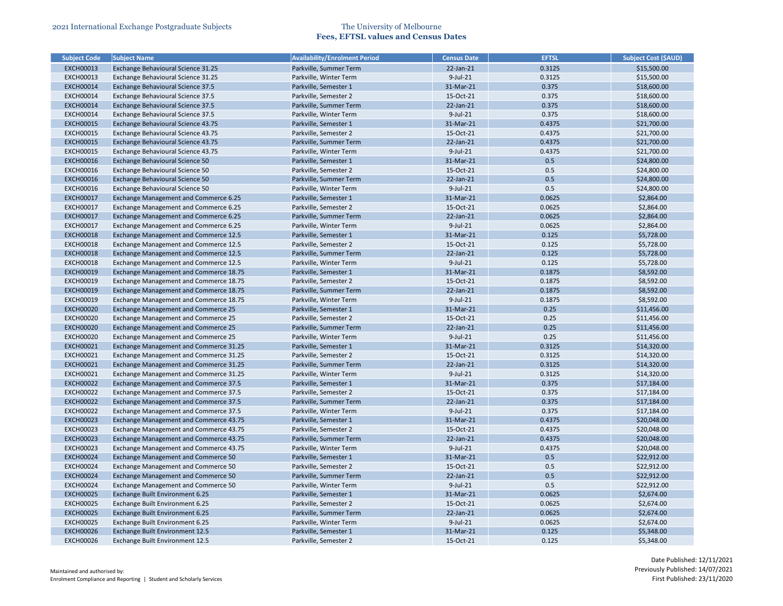| <b>Subject Code</b> | <b>Subject Name</b>                          | <b>Availability/Enrolment Period</b> | <b>Census Date</b> | <b>EFTSL</b> | <b>Subject Cost (\$AUD)</b> |
|---------------------|----------------------------------------------|--------------------------------------|--------------------|--------------|-----------------------------|
| <b>EXCH00013</b>    | Exchange Behavioural Science 31.25           | Parkville, Summer Term               | 22-Jan-21          | 0.3125       | \$15,500.00                 |
| <b>EXCH00013</b>    | Exchange Behavioural Science 31.25           | Parkville, Winter Term               | $9$ -Jul-21        | 0.3125       | \$15,500.00                 |
| <b>EXCH00014</b>    | Exchange Behavioural Science 37.5            | Parkville, Semester 1                | 31-Mar-21          | 0.375        | \$18,600.00                 |
| <b>EXCH00014</b>    | Exchange Behavioural Science 37.5            | Parkville, Semester 2                | 15-Oct-21          | 0.375        | \$18,600.00                 |
| <b>EXCH00014</b>    | Exchange Behavioural Science 37.5            | Parkville, Summer Term               | 22-Jan-21          | 0.375        | \$18,600.00                 |
| <b>EXCH00014</b>    | Exchange Behavioural Science 37.5            | Parkville, Winter Term               | 9-Jul-21           | 0.375        | \$18,600.00                 |
| <b>EXCH00015</b>    | Exchange Behavioural Science 43.75           | Parkville, Semester 1                | 31-Mar-21          | 0.4375       | \$21,700.00                 |
| <b>EXCH00015</b>    | Exchange Behavioural Science 43.75           | Parkville, Semester 2                | 15-Oct-21          | 0.4375       | \$21,700.00                 |
| <b>EXCH00015</b>    | Exchange Behavioural Science 43.75           | Parkville, Summer Term               | 22-Jan-21          | 0.4375       | \$21,700.00                 |
| <b>EXCH00015</b>    | Exchange Behavioural Science 43.75           | Parkville, Winter Term               | $9$ -Jul-21        | 0.4375       | \$21,700.00                 |
| <b>EXCH00016</b>    | Exchange Behavioural Science 50              | Parkville, Semester 1                | 31-Mar-21          | 0.5          | \$24,800.00                 |
| <b>EXCH00016</b>    | Exchange Behavioural Science 50              | Parkville, Semester 2                | 15-Oct-21          | 0.5          | \$24,800.00                 |
| <b>EXCH00016</b>    | Exchange Behavioural Science 50              | Parkville, Summer Term               | 22-Jan-21          | 0.5          | \$24,800.00                 |
| <b>EXCH00016</b>    | Exchange Behavioural Science 50              | Parkville, Winter Term               | 9-Jul-21           | 0.5          | \$24,800.00                 |
| <b>EXCH00017</b>    | Exchange Management and Commerce 6.25        | Parkville, Semester 1                | 31-Mar-21          | 0.0625       | \$2,864.00                  |
| <b>EXCH00017</b>    | Exchange Management and Commerce 6.25        | Parkville, Semester 2                | 15-Oct-21          | 0.0625       | \$2,864.00                  |
| <b>EXCH00017</b>    | Exchange Management and Commerce 6.25        | Parkville, Summer Term               | 22-Jan-21          | 0.0625       | \$2,864.00                  |
| <b>EXCH00017</b>    | Exchange Management and Commerce 6.25        | Parkville, Winter Term               | $9$ -Jul-21        | 0.0625       | \$2,864.00                  |
| <b>EXCH00018</b>    | Exchange Management and Commerce 12.5        | Parkville, Semester 1                | 31-Mar-21          | 0.125        | \$5,728.00                  |
| <b>EXCH00018</b>    | Exchange Management and Commerce 12.5        | Parkville, Semester 2                | 15-Oct-21          | 0.125        | \$5,728.00                  |
| <b>EXCH00018</b>    | <b>Exchange Management and Commerce 12.5</b> | Parkville, Summer Term               | 22-Jan-21          | 0.125        | \$5,728.00                  |
| <b>EXCH00018</b>    | Exchange Management and Commerce 12.5        | Parkville, Winter Term               | $9$ -Jul-21        | 0.125        | \$5,728.00                  |
| <b>EXCH00019</b>    | Exchange Management and Commerce 18.75       | Parkville, Semester 1                | 31-Mar-21          | 0.1875       | \$8,592.00                  |
| <b>EXCH00019</b>    | Exchange Management and Commerce 18.75       | Parkville, Semester 2                | 15-Oct-21          | 0.1875       | \$8,592.00                  |
| <b>EXCH00019</b>    | Exchange Management and Commerce 18.75       | Parkville, Summer Term               | 22-Jan-21          | 0.1875       | \$8,592.00                  |
| <b>EXCH00019</b>    | Exchange Management and Commerce 18.75       | Parkville, Winter Term               | $9$ -Jul-21        | 0.1875       | \$8,592.00                  |
| <b>EXCH00020</b>    | Exchange Management and Commerce 25          | Parkville, Semester 1                | 31-Mar-21          | 0.25         | \$11,456.00                 |
| <b>EXCH00020</b>    | Exchange Management and Commerce 25          | Parkville, Semester 2                | 15-Oct-21          | 0.25         | \$11,456.00                 |
| <b>EXCH00020</b>    | Exchange Management and Commerce 25          | Parkville, Summer Term               | 22-Jan-21          | 0.25         | \$11,456.00                 |
| <b>EXCH00020</b>    | Exchange Management and Commerce 25          | Parkville, Winter Term               | $9$ -Jul-21        | 0.25         | \$11,456.00                 |
| <b>EXCH00021</b>    | Exchange Management and Commerce 31.25       | Parkville, Semester 1                | 31-Mar-21          | 0.3125       | \$14,320.00                 |
| <b>EXCH00021</b>    | Exchange Management and Commerce 31.25       | Parkville, Semester 2                | 15-Oct-21          | 0.3125       | \$14,320.00                 |
| <b>EXCH00021</b>    | Exchange Management and Commerce 31.25       | Parkville, Summer Term               | 22-Jan-21          | 0.3125       | \$14,320.00                 |
| <b>EXCH00021</b>    | Exchange Management and Commerce 31.25       | Parkville, Winter Term               | $9$ -Jul-21        | 0.3125       | \$14,320.00                 |
| <b>EXCH00022</b>    | Exchange Management and Commerce 37.5        | Parkville, Semester 1                | 31-Mar-21          | 0.375        | \$17,184.00                 |
| <b>EXCH00022</b>    | Exchange Management and Commerce 37.5        | Parkville, Semester 2                | 15-Oct-21          | 0.375        | \$17,184.00                 |
| <b>EXCH00022</b>    | Exchange Management and Commerce 37.5        | Parkville, Summer Term               | 22-Jan-21          | 0.375        | \$17,184.00                 |
| <b>EXCH00022</b>    | Exchange Management and Commerce 37.5        | Parkville, Winter Term               | 9-Jul-21           | 0.375        | \$17,184.00                 |
| <b>EXCH00023</b>    | Exchange Management and Commerce 43.75       | Parkville, Semester 1                | 31-Mar-21          | 0.4375       | \$20,048.00                 |
| <b>EXCH00023</b>    | Exchange Management and Commerce 43.75       | Parkville, Semester 2                | 15-Oct-21          | 0.4375       | \$20,048.00                 |
| <b>EXCH00023</b>    | Exchange Management and Commerce 43.75       | Parkville, Summer Term               | 22-Jan-21          | 0.4375       | \$20,048.00                 |
| <b>EXCH00023</b>    | Exchange Management and Commerce 43.75       | Parkville, Winter Term               | 9-Jul-21           | 0.4375       | \$20,048.00                 |
| <b>EXCH00024</b>    | Exchange Management and Commerce 50          | Parkville, Semester 1                | 31-Mar-21          | 0.5          | \$22,912.00                 |
| <b>EXCH00024</b>    | Exchange Management and Commerce 50          | Parkville, Semester 2                | 15-Oct-21          | 0.5          | \$22,912.00                 |
| <b>EXCH00024</b>    | Exchange Management and Commerce 50          | Parkville, Summer Term               | 22-Jan-21          | 0.5          | \$22,912.00                 |
| <b>EXCH00024</b>    | Exchange Management and Commerce 50          | Parkville, Winter Term               | 9-Jul-21           | 0.5          | \$22,912.00                 |
| <b>EXCH00025</b>    | Exchange Built Environment 6.25              | Parkville, Semester 1                | 31-Mar-21          | 0.0625       | \$2,674.00                  |
| <b>EXCH00025</b>    | Exchange Built Environment 6.25              | Parkville, Semester 2                | 15-Oct-21          | 0.0625       | \$2,674.00                  |
| <b>EXCH00025</b>    | Exchange Built Environment 6.25              | Parkville, Summer Term               | 22-Jan-21          | 0.0625       | \$2,674.00                  |
| <b>EXCH00025</b>    | Exchange Built Environment 6.25              | Parkville, Winter Term               | 9-Jul-21           | 0.0625       | \$2,674.00                  |
| <b>EXCH00026</b>    | Exchange Built Environment 12.5              | Parkville, Semester 1                | 31-Mar-21          | 0.125        | \$5,348.00                  |
| <b>EXCH00026</b>    | Exchange Built Environment 12.5              | Parkville, Semester 2                | 15-Oct-21          | 0.125        | \$5,348.00                  |
|                     |                                              |                                      |                    |              |                             |

| <b>Subject Cost (SAUD)</b> |
|----------------------------|
| \$15,500.00                |
| \$15,500.00                |
| \$18,600.00                |
| \$18,600.00                |
| \$18,600.00                |
| \$18,600.00                |
| \$21,700.00                |
| \$21,700.00                |
| \$21,700.00                |
| \$21,700.00                |
| \$24,800.00                |
| \$24,800.00                |
| \$24,800.00                |
| \$24,800.00                |
| \$2,864.00                 |
| \$2,864.00                 |
| \$2,864.00                 |
| \$2,864.00                 |
| \$5,728.00                 |
| \$5,728.00                 |
| \$5,728.00                 |
| \$5,728.00                 |
| \$8,592.00                 |
| \$8,592.00                 |
| \$8,592.00                 |
| \$8,592.00                 |
| \$11,456.00                |
| \$11,456.00                |
| \$11,456.00                |
| \$11,456.00                |
| \$14,320.00                |
| \$14,320.00                |
| \$14,320.00                |
| \$14,320.00                |
| \$17,184.00                |
| \$17,184.00                |
| \$17,184.00                |
| \$17,184.00                |
| \$20,048.00                |
| \$20,048.00                |
| \$20,048.00                |
| \$20,048.00                |
| \$22,912.00                |
| \$22,912.00                |
| \$22,912.00                |
| \$22,912.00                |
| \$2,674.00                 |
| \$2,674.00                 |
| \$2,674.00                 |
| \$2,674.00                 |
| \$5,348.00                 |
| \$5,348.00                 |
|                            |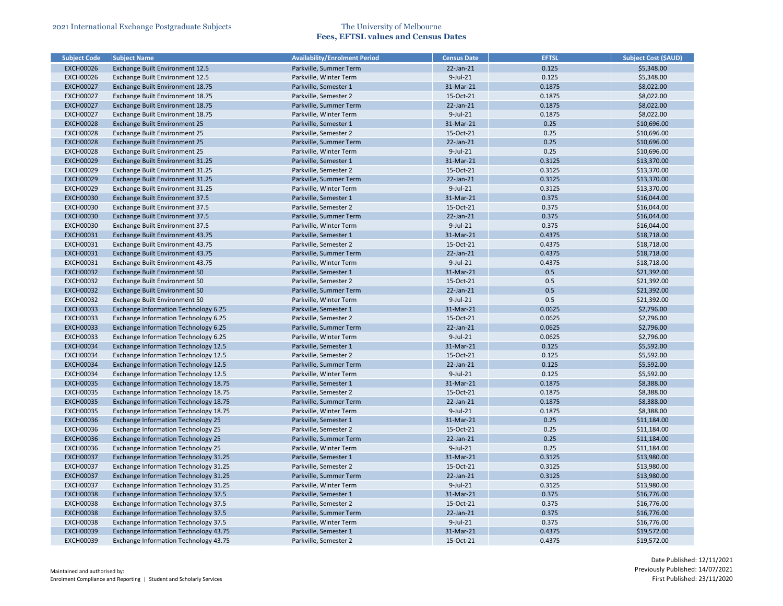| <b>Subject Code</b> | <b>Subject Name</b>                          | <b>Availability/Enrolment Period</b> | <b>Census Date</b>    | <b>EFTSL</b>   | <b>Subject Cost (\$AUD)</b> |
|---------------------|----------------------------------------------|--------------------------------------|-----------------------|----------------|-----------------------------|
| <b>EXCH00026</b>    | Exchange Built Environment 12.5              | Parkville, Summer Term               | 22-Jan-21             | 0.125          | \$5,348.00                  |
| <b>EXCH00026</b>    | Exchange Built Environment 12.5              | Parkville, Winter Term               | $9$ -Jul-21           | 0.125          | \$5,348.00                  |
| <b>EXCH00027</b>    | Exchange Built Environment 18.75             | Parkville, Semester 1                | 31-Mar-21             | 0.1875         | \$8,022.00                  |
| <b>EXCH00027</b>    | Exchange Built Environment 18.75             | Parkville, Semester 2                | 15-Oct-21             | 0.1875         | \$8,022.00                  |
| <b>EXCH00027</b>    | Exchange Built Environment 18.75             | Parkville, Summer Term               | 22-Jan-21             | 0.1875         | \$8,022.00                  |
| <b>EXCH00027</b>    | Exchange Built Environment 18.75             | Parkville, Winter Term               | 9-Jul-21              | 0.1875         | \$8,022.00                  |
| <b>EXCH00028</b>    | Exchange Built Environment 25                | Parkville, Semester 1                | 31-Mar-21             | 0.25           | \$10,696.00                 |
| <b>EXCH00028</b>    | Exchange Built Environment 25                | Parkville, Semester 2                | 15-Oct-21             | 0.25           | \$10,696.00                 |
| <b>EXCH00028</b>    | Exchange Built Environment 25                | Parkville, Summer Term               | 22-Jan-21             | 0.25           | \$10,696.00                 |
| <b>EXCH00028</b>    | Exchange Built Environment 25                | Parkville, Winter Term               | $9$ -Jul-21           | 0.25           | \$10,696.00                 |
| <b>EXCH00029</b>    | Exchange Built Environment 31.25             | Parkville, Semester 1                | 31-Mar-21             | 0.3125         | \$13,370.00                 |
| <b>EXCH00029</b>    | Exchange Built Environment 31.25             | Parkville, Semester 2                | 15-Oct-21             | 0.3125         | \$13,370.00                 |
| <b>EXCH00029</b>    | Exchange Built Environment 31.25             | Parkville, Summer Term               | 22-Jan-21             | 0.3125         | \$13,370.00                 |
| <b>EXCH00029</b>    | Exchange Built Environment 31.25             | Parkville, Winter Term               | 9-Jul-21              | 0.3125         | \$13,370.00                 |
| <b>EXCH00030</b>    | Exchange Built Environment 37.5              | Parkville, Semester 1                | 31-Mar-21             | 0.375          | \$16,044.00                 |
| <b>EXCH00030</b>    | Exchange Built Environment 37.5              | Parkville, Semester 2                | 15-Oct-21             | 0.375          | \$16,044.00                 |
| <b>EXCH00030</b>    | Exchange Built Environment 37.5              | Parkville, Summer Term               | 22-Jan-21             | 0.375          | \$16,044.00                 |
| <b>EXCH00030</b>    | Exchange Built Environment 37.5              | Parkville, Winter Term               | $9$ -Jul-21           | 0.375          | \$16,044.00                 |
| <b>EXCH00031</b>    | Exchange Built Environment 43.75             | Parkville, Semester 1                | 31-Mar-21             | 0.4375         | \$18,718.00                 |
| <b>EXCH00031</b>    | Exchange Built Environment 43.75             | Parkville, Semester 2                | 15-Oct-21             | 0.4375         | \$18,718.00                 |
| <b>EXCH00031</b>    | Exchange Built Environment 43.75             | Parkville, Summer Term               | 22-Jan-21             | 0.4375         | \$18,718.00                 |
| <b>EXCH00031</b>    | Exchange Built Environment 43.75             | Parkville, Winter Term               | 9-Jul-21              | 0.4375         | \$18,718.00                 |
| <b>EXCH00032</b>    | Exchange Built Environment 50                | Parkville, Semester 1                | 31-Mar-21             | 0.5            | \$21,392.00                 |
| <b>EXCH00032</b>    | Exchange Built Environment 50                | Parkville, Semester 2                | 15-Oct-21             | 0.5            | \$21,392.00                 |
| <b>EXCH00032</b>    | Exchange Built Environment 50                | Parkville, Summer Term               | 22-Jan-21             | 0.5            | \$21,392.00                 |
| <b>EXCH00032</b>    | Exchange Built Environment 50                | Parkville, Winter Term               | $9$ -Jul-21           | 0.5            | \$21,392.00                 |
| <b>EXCH00033</b>    | Exchange Information Technology 6.25         | Parkville, Semester 1                | 31-Mar-21             | 0.0625         | \$2,796.00                  |
| <b>EXCH00033</b>    | Exchange Information Technology 6.25         | Parkville, Semester 2                | 15-Oct-21             | 0.0625         | \$2,796.00                  |
| <b>EXCH00033</b>    | Exchange Information Technology 6.25         | Parkville, Summer Term               | 22-Jan-21             | 0.0625         | \$2,796.00                  |
| <b>EXCH00033</b>    | Exchange Information Technology 6.25         | Parkville, Winter Term               | $9$ -Jul-21           | 0.0625         | \$2,796.00                  |
| <b>EXCH00034</b>    | <b>Exchange Information Technology 12.5</b>  | Parkville, Semester 1                | 31-Mar-21             | 0.125          | \$5,592.00                  |
| <b>EXCH00034</b>    | Exchange Information Technology 12.5         | Parkville, Semester 2                | 15-Oct-21             | 0.125          | \$5,592.00                  |
| <b>EXCH00034</b>    | Exchange Information Technology 12.5         | Parkville, Summer Term               | 22-Jan-21             | 0.125          | \$5,592.00                  |
| <b>EXCH00034</b>    | <b>Exchange Information Technology 12.5</b>  | Parkville, Winter Term               | $9$ -Jul-21           | 0.125          | \$5,592.00                  |
| <b>EXCH00035</b>    | <b>Exchange Information Technology 18.75</b> | Parkville, Semester 1                | 31-Mar-21             | 0.1875         | \$8,388.00                  |
| <b>EXCH00035</b>    | Exchange Information Technology 18.75        | Parkville, Semester 2                | 15-Oct-21             | 0.1875         | \$8,388.00                  |
| <b>EXCH00035</b>    | Exchange Information Technology 18.75        | Parkville, Summer Term               | 22-Jan-21             | 0.1875         | \$8,388.00                  |
| <b>EXCH00035</b>    | Exchange Information Technology 18.75        | Parkville, Winter Term               | 9-Jul-21              | 0.1875         | \$8,388.00                  |
| <b>EXCH00036</b>    | <b>Exchange Information Technology 25</b>    | Parkville, Semester 1                | 31-Mar-21             | 0.25           | \$11,184.00                 |
| <b>EXCH00036</b>    | <b>Exchange Information Technology 25</b>    | Parkville, Semester 2                | 15-Oct-21             | 0.25           | \$11,184.00                 |
| <b>EXCH00036</b>    | <b>Exchange Information Technology 25</b>    | Parkville, Summer Term               | 22-Jan-21             | 0.25           | \$11,184.00                 |
| <b>EXCH00036</b>    | Exchange Information Technology 25           | Parkville, Winter Term               | 9-Jul-21              | 0.25           | \$11,184.00                 |
| <b>EXCH00037</b>    | Exchange Information Technology 31.25        | Parkville, Semester 1                | 31-Mar-21             | 0.3125         | \$13,980.00                 |
| <b>EXCH00037</b>    | Exchange Information Technology 31.25        | Parkville, Semester 2                | 15-Oct-21             | 0.3125         | \$13,980.00                 |
| <b>EXCH00037</b>    | Exchange Information Technology 31.25        | Parkville, Summer Term               | 22-Jan-21             | 0.3125         | \$13,980.00                 |
| <b>EXCH00037</b>    | <b>Exchange Information Technology 31.25</b> | Parkville, Winter Term               | 9-Jul-21              | 0.3125         | \$13,980.00                 |
| <b>EXCH00038</b>    | Exchange Information Technology 37.5         |                                      | 31-Mar-21             | 0.375          | \$16,776.00                 |
|                     |                                              | Parkville, Semester 1                |                       |                |                             |
| <b>EXCH00038</b>    | <b>Exchange Information Technology 37.5</b>  | Parkville, Semester 2                | 15-Oct-21             | 0.375<br>0.375 | \$16,776.00<br>\$16,776.00  |
| <b>EXCH00038</b>    | Exchange Information Technology 37.5         | Parkville, Summer Term               | 22-Jan-21<br>9-Jul-21 |                |                             |
| <b>EXCH00038</b>    | Exchange Information Technology 37.5         | Parkville, Winter Term               |                       | 0.375          | \$16,776.00                 |
| <b>EXCH00039</b>    | Exchange Information Technology 43.75        | Parkville, Semester 1                | 31-Mar-21             | 0.4375         | \$19,572.00                 |
| <b>EXCH00039</b>    | Exchange Information Technology 43.75        | Parkville, Semester 2                | 15-Oct-21             | 0.4375         | \$19,572.00                 |

| <b>Subject Cost (\$AUD)</b> |
|-----------------------------|
| \$5,348.00                  |
| \$5,348.00                  |
| \$8,022.00                  |
| \$8,022.00                  |
| \$8,022.00                  |
| \$8,022.00                  |
| \$10,696.00                 |
| \$10,696.00                 |
| \$10,696.00                 |
| \$10,696.00                 |
| \$13,370.00                 |
| \$13,370.00                 |
| \$13,370.00                 |
| \$13,370.00                 |
| \$16,044.00                 |
| \$16,044.00                 |
| \$16,044.00                 |
| \$16,044.00                 |
| \$18,718.00                 |
| \$18,718.00                 |
| \$18,718.00                 |
| \$18,718.00                 |
| \$21,392.00                 |
| \$21,392.00                 |
| \$21,392.00                 |
| \$21,392.00                 |
| \$2,796.00                  |
| \$2,796.00                  |
| \$2,796.00                  |
| \$2,796.00                  |
| \$5,592.00                  |
| \$5,592.00                  |
| \$5,592.00                  |
| \$5,592.00                  |
| \$8,388.00                  |
| \$8,388.00                  |
| \$8,388.00                  |
| \$8,388.00                  |
| \$11,184.00                 |
| \$11,184.00                 |
| \$11,184.00                 |
| \$11,184.00                 |
|                             |
| \$13,980.00                 |
| \$13,980.00                 |
| \$13,980.00                 |
| \$13,980.00                 |
| \$16,776.00                 |
| \$16,776.00                 |
| \$16,776.00                 |
| \$16,776.00                 |
| \$19,572.00                 |
| \$19,572.00                 |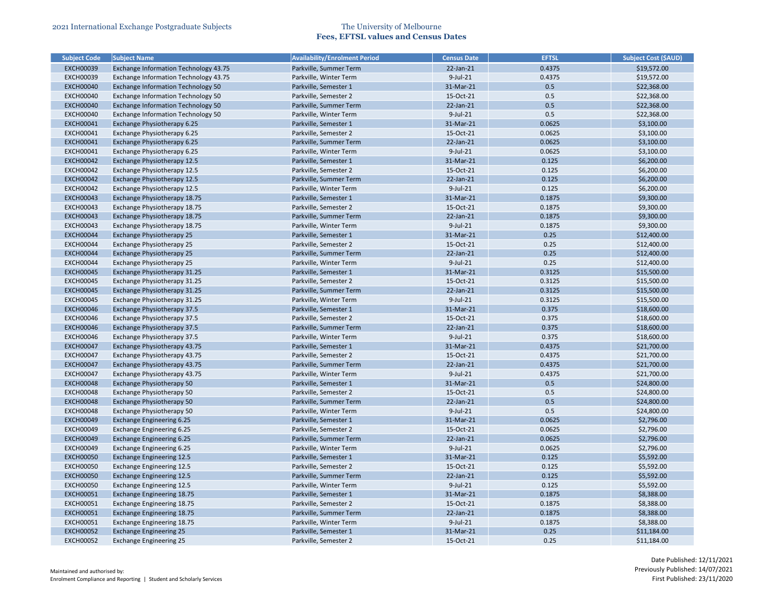| <b>Subject Code</b> | <b>Subject Name</b>                   | <b>Availability/Enrolment Period</b> | <b>Census Date</b> | <b>EFTSL</b> | <b>Subject Cost (\$AUD)</b> |
|---------------------|---------------------------------------|--------------------------------------|--------------------|--------------|-----------------------------|
| <b>EXCH00039</b>    | Exchange Information Technology 43.75 | Parkville, Summer Term               | 22-Jan-21          | 0.4375       | \$19,572.00                 |
| <b>EXCH00039</b>    | Exchange Information Technology 43.75 | Parkville, Winter Term               | $9$ -Jul-21        | 0.4375       | \$19,572.00                 |
| <b>EXCH00040</b>    | Exchange Information Technology 50    | Parkville, Semester 1                | 31-Mar-21          | 0.5          | \$22,368.00                 |
| <b>EXCH00040</b>    | Exchange Information Technology 50    | Parkville, Semester 2                | 15-Oct-21          | 0.5          | \$22,368.00                 |
| <b>EXCH00040</b>    | Exchange Information Technology 50    | Parkville, Summer Term               | 22-Jan-21          | 0.5          | \$22,368.00                 |
| <b>EXCH00040</b>    | Exchange Information Technology 50    | Parkville, Winter Term               | $9$ -Jul-21        | 0.5          | \$22,368.00                 |
| <b>EXCH00041</b>    | Exchange Physiotherapy 6.25           | Parkville, Semester 1                | 31-Mar-21          | 0.0625       | \$3,100.00                  |
| <b>EXCH00041</b>    | Exchange Physiotherapy 6.25           | Parkville, Semester 2                | 15-Oct-21          | 0.0625       | \$3,100.00                  |
| <b>EXCH00041</b>    | Exchange Physiotherapy 6.25           | Parkville, Summer Term               | 22-Jan-21          | 0.0625       | \$3,100.00                  |
| <b>EXCH00041</b>    | Exchange Physiotherapy 6.25           | Parkville, Winter Term               | 9-Jul-21           | 0.0625       | \$3,100.00                  |
| <b>EXCH00042</b>    | Exchange Physiotherapy 12.5           | Parkville, Semester 1                | 31-Mar-21          | 0.125        | \$6,200.00                  |
| <b>EXCH00042</b>    | Exchange Physiotherapy 12.5           | Parkville, Semester 2                | 15-Oct-21          | 0.125        | \$6,200.00                  |
| <b>EXCH00042</b>    | Exchange Physiotherapy 12.5           | Parkville, Summer Term               | 22-Jan-21          | 0.125        | \$6,200.00                  |
| <b>EXCH00042</b>    | Exchange Physiotherapy 12.5           | Parkville, Winter Term               | 9-Jul-21           | 0.125        | \$6,200.00                  |
| <b>EXCH00043</b>    | Exchange Physiotherapy 18.75          | Parkville, Semester 1                | 31-Mar-21          | 0.1875       | \$9,300.00                  |
| <b>EXCH00043</b>    | Exchange Physiotherapy 18.75          | Parkville, Semester 2                | 15-Oct-21          | 0.1875       | \$9,300.00                  |
| <b>EXCH00043</b>    | Exchange Physiotherapy 18.75          | Parkville, Summer Term               | 22-Jan-21          | 0.1875       | \$9,300.00                  |
| <b>EXCH00043</b>    | Exchange Physiotherapy 18.75          | Parkville, Winter Term               | $9$ -Jul-21        | 0.1875       | \$9,300.00                  |
| <b>EXCH00044</b>    | Exchange Physiotherapy 25             | Parkville, Semester 1                | 31-Mar-21          | 0.25         | \$12,400.00                 |
| <b>EXCH00044</b>    | Exchange Physiotherapy 25             | Parkville, Semester 2                | 15-Oct-21          | 0.25         | \$12,400.00                 |
| <b>EXCH00044</b>    | Exchange Physiotherapy 25             | Parkville, Summer Term               | 22-Jan-21          | 0.25         | \$12,400.00                 |
| <b>EXCH00044</b>    | Exchange Physiotherapy 25             | Parkville, Winter Term               | 9-Jul-21           | 0.25         | \$12,400.00                 |
| <b>EXCH00045</b>    | Exchange Physiotherapy 31.25          | Parkville, Semester 1                | 31-Mar-21          | 0.3125       | \$15,500.00                 |
| <b>EXCH00045</b>    | Exchange Physiotherapy 31.25          | Parkville, Semester 2                | 15-Oct-21          | 0.3125       | \$15,500.00                 |
| <b>EXCH00045</b>    | Exchange Physiotherapy 31.25          | Parkville, Summer Term               | 22-Jan-21          | 0.3125       | \$15,500.00                 |
| <b>EXCH00045</b>    | Exchange Physiotherapy 31.25          | Parkville, Winter Term               | $9$ -Jul-21        | 0.3125       | \$15,500.00                 |
| <b>EXCH00046</b>    | Exchange Physiotherapy 37.5           | Parkville, Semester 1                | 31-Mar-21          | 0.375        | \$18,600.00                 |
| <b>EXCH00046</b>    | Exchange Physiotherapy 37.5           | Parkville, Semester 2                | 15-Oct-21          | 0.375        | \$18,600.00                 |
| <b>EXCH00046</b>    | Exchange Physiotherapy 37.5           | Parkville, Summer Term               | 22-Jan-21          | 0.375        | \$18,600.00                 |
| <b>EXCH00046</b>    | Exchange Physiotherapy 37.5           | Parkville, Winter Term               | 9-Jul-21           | 0.375        | \$18,600.00                 |
| <b>EXCH00047</b>    | Exchange Physiotherapy 43.75          | Parkville, Semester 1                | 31-Mar-21          | 0.4375       | \$21,700.00                 |
| <b>EXCH00047</b>    | Exchange Physiotherapy 43.75          | Parkville, Semester 2                | 15-Oct-21          | 0.4375       | \$21,700.00                 |
| <b>EXCH00047</b>    | Exchange Physiotherapy 43.75          | Parkville, Summer Term               | 22-Jan-21          | 0.4375       | \$21,700.00                 |
| <b>EXCH00047</b>    | Exchange Physiotherapy 43.75          | Parkville, Winter Term               | 9-Jul-21           | 0.4375       | \$21,700.00                 |
| <b>EXCH00048</b>    | Exchange Physiotherapy 50             | Parkville, Semester 1                | 31-Mar-21          | 0.5          | \$24,800.00                 |
| <b>EXCH00048</b>    | Exchange Physiotherapy 50             | Parkville, Semester 2                | 15-Oct-21          | 0.5          | \$24,800.00                 |
| <b>EXCH00048</b>    | Exchange Physiotherapy 50             | Parkville, Summer Term               | 22-Jan-21          | 0.5          | \$24,800.00                 |
| <b>EXCH00048</b>    | Exchange Physiotherapy 50             | Parkville, Winter Term               | $9$ -Jul-21        | 0.5          | \$24,800.00                 |
| <b>EXCH00049</b>    | Exchange Engineering 6.25             | Parkville, Semester 1                | 31-Mar-21          | 0.0625       | \$2,796.00                  |
| <b>EXCH00049</b>    | <b>Exchange Engineering 6.25</b>      | Parkville, Semester 2                | 15-Oct-21          | 0.0625       | \$2,796.00                  |
| <b>EXCH00049</b>    | <b>Exchange Engineering 6.25</b>      | Parkville, Summer Term               | 22-Jan-21          | 0.0625       | \$2,796.00                  |
| <b>EXCH00049</b>    | Exchange Engineering 6.25             | Parkville, Winter Term               | $9$ -Jul-21        | 0.0625       | \$2,796.00                  |
| <b>EXCH00050</b>    | <b>Exchange Engineering 12.5</b>      | Parkville, Semester 1                | 31-Mar-21          | 0.125        | \$5,592.00                  |
| <b>EXCH00050</b>    | <b>Exchange Engineering 12.5</b>      | Parkville, Semester 2                | 15-Oct-21          | 0.125        | \$5,592.00                  |
| <b>EXCH00050</b>    | <b>Exchange Engineering 12.5</b>      | Parkville, Summer Term               | 22-Jan-21          | 0.125        | \$5,592.00                  |
| <b>EXCH00050</b>    | <b>Exchange Engineering 12.5</b>      | Parkville, Winter Term               | 9-Jul-21           | 0.125        | \$5,592.00                  |
| <b>EXCH00051</b>    | Exchange Engineering 18.75            | Parkville, Semester 1                | 31-Mar-21          | 0.1875       | \$8,388.00                  |
| <b>EXCH00051</b>    | Exchange Engineering 18.75            | Parkville, Semester 2                | 15-Oct-21          | 0.1875       | \$8,388.00                  |
| <b>EXCH00051</b>    | Exchange Engineering 18.75            | Parkville, Summer Term               | $22$ -Jan- $21$    | 0.1875       | \$8,388.00                  |
| <b>EXCH00051</b>    | <b>Exchange Engineering 18.75</b>     | Parkville, Winter Term               | 9-Jul-21           | 0.1875       | \$8,388.00                  |
| <b>EXCH00052</b>    | <b>Exchange Engineering 25</b>        | Parkville, Semester 1                | 31-Mar-21          | 0.25         | \$11,184.00                 |
| <b>EXCH00052</b>    | <b>Exchange Engineering 25</b>        | Parkville, Semester 2                | 15-Oct-21          | 0.25         | \$11,184.00                 |

| <b>Subject Cost (\$AUD)</b> |
|-----------------------------|
| \$19,572.00                 |
| \$19,572.00                 |
| \$22,368.00                 |
| \$22,368.00                 |
| \$22,368.00                 |
| \$22,368.00                 |
| \$3,100.00                  |
| \$3,100.00                  |
| \$3,100.00                  |
| \$3,100.00                  |
| \$6,200.00                  |
| \$6,200.00                  |
| \$6,200.00                  |
| \$6,200.00                  |
| \$9,300.00                  |
| \$9,300.00                  |
| \$9,300.00                  |
| \$9,300.00                  |
| \$12,400.00                 |
| \$12,400.00                 |
| \$12,400.00                 |
| \$12,400.00                 |
| \$15,500.00                 |
| \$15,500.00                 |
| \$15,500.00                 |
| \$15,500.00                 |
| \$18,600.00                 |
|                             |
| \$18,600.00                 |
| \$18,600.00                 |
| \$18,600.00                 |
| \$21,700.00                 |
| \$21,700.00                 |
| \$21,700.00                 |
| \$21,700.00                 |
| \$24,800.00                 |
| \$24,800.00                 |
| \$24,800.00                 |
| \$24,800.00                 |
| \$2,796.00                  |
| \$2,796.00                  |
| \$2,796.00                  |
| \$2,796.00                  |
| \$5,592.00                  |
| \$5,592.00                  |
| \$5,592.00                  |
| \$5,592.00                  |
| \$8,388.00                  |
| \$8,388.00                  |
| \$8,388.00                  |
| \$8,388.00                  |
| \$11,184.00                 |
| \$11,184.00                 |
|                             |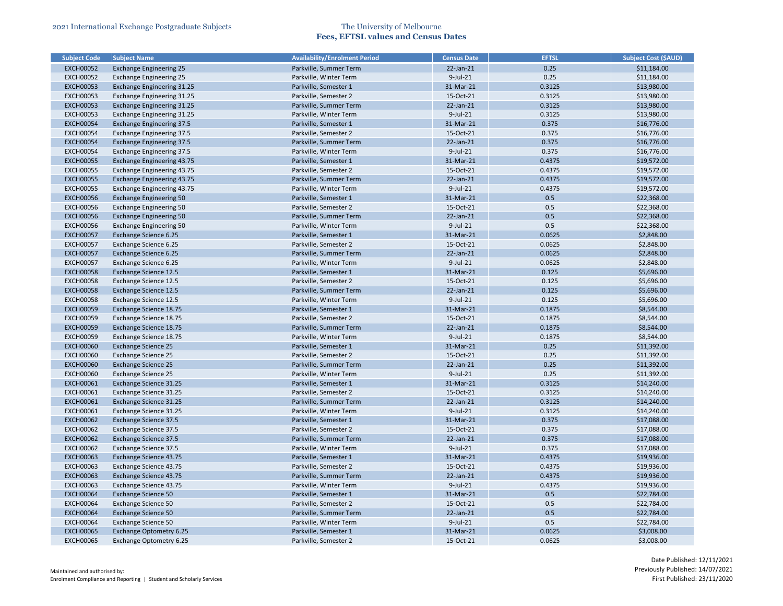| <b>Subject Code</b> | <b>Subject Name</b>               | <b>Availability/Enrolment Period</b> | <b>Census Date</b> | <b>EFTSL</b> | <b>Subject Cost (\$AUD)</b> |
|---------------------|-----------------------------------|--------------------------------------|--------------------|--------------|-----------------------------|
| <b>EXCH00052</b>    | <b>Exchange Engineering 25</b>    | Parkville, Summer Term               | 22-Jan-21          | 0.25         | \$11,184.00                 |
| <b>EXCH00052</b>    | <b>Exchange Engineering 25</b>    | Parkville, Winter Term               | $9$ -Jul-21        | 0.25         | \$11,184.00                 |
| <b>EXCH00053</b>    | <b>Exchange Engineering 31.25</b> | Parkville, Semester 1                | 31-Mar-21          | 0.3125       | \$13,980.00                 |
| <b>EXCH00053</b>    | Exchange Engineering 31.25        | Parkville, Semester 2                | 15-Oct-21          | 0.3125       | \$13,980.00                 |
| <b>EXCH00053</b>    | Exchange Engineering 31.25        | Parkville, Summer Term               | 22-Jan-21          | 0.3125       | \$13,980.00                 |
| <b>EXCH00053</b>    | Exchange Engineering 31.25        | Parkville, Winter Term               | $9$ -Jul-21        | 0.3125       | \$13,980.00                 |
| <b>EXCH00054</b>    | <b>Exchange Engineering 37.5</b>  | Parkville, Semester 1                | 31-Mar-21          | 0.375        | \$16,776.00                 |
| <b>EXCH00054</b>    | <b>Exchange Engineering 37.5</b>  | Parkville, Semester 2                | 15-Oct-21          | 0.375        | \$16,776.00                 |
| <b>EXCH00054</b>    | <b>Exchange Engineering 37.5</b>  | Parkville, Summer Term               | 22-Jan-21          | 0.375        | \$16,776.00                 |
| <b>EXCH00054</b>    | <b>Exchange Engineering 37.5</b>  | Parkville, Winter Term               | $9$ -Jul-21        | 0.375        | \$16,776.00                 |
| <b>EXCH00055</b>    | Exchange Engineering 43.75        | Parkville, Semester 1                | 31-Mar-21          | 0.4375       | \$19,572.00                 |
| <b>EXCH00055</b>    | <b>Exchange Engineering 43.75</b> | Parkville, Semester 2                | 15-Oct-21          | 0.4375       | \$19,572.00                 |
| <b>EXCH00055</b>    | Exchange Engineering 43.75        | Parkville, Summer Term               | 22-Jan-21          | 0.4375       | \$19,572.00                 |
| <b>EXCH00055</b>    | Exchange Engineering 43.75        | Parkville, Winter Term               | $9$ -Jul-21        | 0.4375       | \$19,572.00                 |
| <b>EXCH00056</b>    | <b>Exchange Engineering 50</b>    | Parkville, Semester 1                | 31-Mar-21          | 0.5          | \$22,368.00                 |
| <b>EXCH00056</b>    | <b>Exchange Engineering 50</b>    | Parkville, Semester 2                | 15-Oct-21          | 0.5          | \$22,368.00                 |
| <b>EXCH00056</b>    | <b>Exchange Engineering 50</b>    | Parkville, Summer Term               | 22-Jan-21          | 0.5          | \$22,368.00                 |
| <b>EXCH00056</b>    | <b>Exchange Engineering 50</b>    | Parkville, Winter Term               | $9$ -Jul-21        | 0.5          | \$22,368.00                 |
| <b>EXCH00057</b>    | <b>Exchange Science 6.25</b>      | Parkville, Semester 1                | 31-Mar-21          | 0.0625       | \$2,848.00                  |
| <b>EXCH00057</b>    | Exchange Science 6.25             | Parkville, Semester 2                | 15-Oct-21          | 0.0625       | \$2,848.00                  |
| <b>EXCH00057</b>    | Exchange Science 6.25             | Parkville, Summer Term               | 22-Jan-21          | 0.0625       | \$2,848.00                  |
| <b>EXCH00057</b>    | Exchange Science 6.25             | Parkville, Winter Term               | $9$ -Jul-21        | 0.0625       | \$2,848.00                  |
| <b>EXCH00058</b>    | Exchange Science 12.5             | Parkville, Semester 1                | 31-Mar-21          | 0.125        | \$5,696.00                  |
| <b>EXCH00058</b>    | Exchange Science 12.5             | Parkville, Semester 2                | 15-Oct-21          | 0.125        | \$5,696.00                  |
| <b>EXCH00058</b>    | <b>Exchange Science 12.5</b>      | Parkville, Summer Term               | 22-Jan-21          | 0.125        | \$5,696.00                  |
| <b>EXCH00058</b>    | Exchange Science 12.5             | Parkville, Winter Term               | $9$ -Jul-21        | 0.125        | \$5,696.00                  |
| <b>EXCH00059</b>    | Exchange Science 18.75            | Parkville, Semester 1                | 31-Mar-21          | 0.1875       | \$8,544.00                  |
| <b>EXCH00059</b>    | Exchange Science 18.75            | Parkville, Semester 2                | 15-Oct-21          | 0.1875       | \$8,544.00                  |
| <b>EXCH00059</b>    | Exchange Science 18.75            | Parkville, Summer Term               | 22-Jan-21          | 0.1875       | \$8,544.00                  |
| <b>EXCH00059</b>    | Exchange Science 18.75            | Parkville, Winter Term               | $9$ -Jul-21        | 0.1875       | \$8,544.00                  |
| <b>EXCH00060</b>    | <b>Exchange Science 25</b>        | Parkville, Semester 1                | 31-Mar-21          | 0.25         | \$11,392.00                 |
| <b>EXCH00060</b>    | <b>Exchange Science 25</b>        | Parkville, Semester 2                | 15-Oct-21          | 0.25         | \$11,392.00                 |
| <b>EXCH00060</b>    | <b>Exchange Science 25</b>        | Parkville, Summer Term               | 22-Jan-21          | 0.25         | \$11,392.00                 |
| <b>EXCH00060</b>    | <b>Exchange Science 25</b>        | Parkville, Winter Term               | $9$ -Jul-21        | 0.25         | \$11,392.00                 |
| <b>EXCH00061</b>    | Exchange Science 31.25            | Parkville, Semester 1                | 31-Mar-21          | 0.3125       | \$14,240.00                 |
| <b>EXCH00061</b>    | Exchange Science 31.25            | Parkville, Semester 2                | 15-Oct-21          | 0.3125       | \$14,240.00                 |
| <b>EXCH00061</b>    | Exchange Science 31.25            | Parkville, Summer Term               | 22-Jan-21          | 0.3125       | \$14,240.00                 |
| <b>EXCH00061</b>    | Exchange Science 31.25            | Parkville, Winter Term               | 9-Jul-21           | 0.3125       | \$14,240.00                 |
| <b>EXCH00062</b>    | <b>Exchange Science 37.5</b>      | Parkville, Semester 1                | 31-Mar-21          | 0.375        | \$17,088.00                 |
| <b>EXCH00062</b>    | Exchange Science 37.5             | Parkville, Semester 2                | 15-Oct-21          | 0.375        | \$17,088.00                 |
| <b>EXCH00062</b>    | <b>Exchange Science 37.5</b>      | Parkville, Summer Term               | 22-Jan-21          | 0.375        | \$17,088.00                 |
| <b>EXCH00062</b>    | Exchange Science 37.5             | Parkville, Winter Term               | $9$ -Jul-21        | 0.375        | \$17,088.00                 |
| <b>EXCH00063</b>    | Exchange Science 43.75            | Parkville, Semester 1                | 31-Mar-21          | 0.4375       | \$19,936.00                 |
| <b>EXCH00063</b>    | Exchange Science 43.75            | Parkville, Semester 2                | 15-Oct-21          | 0.4375       | \$19,936.00                 |
| <b>EXCH00063</b>    | Exchange Science 43.75            | Parkville, Summer Term               | 22-Jan-21          | 0.4375       | \$19,936.00                 |
| <b>EXCH00063</b>    | Exchange Science 43.75            | Parkville, Winter Term               | $9$ -Jul-21        | 0.4375       | \$19,936.00                 |
| <b>EXCH00064</b>    | <b>Exchange Science 50</b>        | Parkville, Semester 1                | 31-Mar-21          | 0.5          | \$22,784.00                 |
| <b>EXCH00064</b>    | <b>Exchange Science 50</b>        | Parkville, Semester 2                | 15-Oct-21          | 0.5          | \$22,784.00                 |
| <b>EXCH00064</b>    | <b>Exchange Science 50</b>        | Parkville, Summer Term               | $22$ -Jan- $21$    | 0.5          | \$22,784.00                 |
| <b>EXCH00064</b>    | <b>Exchange Science 50</b>        | Parkville, Winter Term               | 9-Jul-21           | 0.5          | \$22,784.00                 |
| <b>EXCH00065</b>    | Exchange Optometry 6.25           | Parkville, Semester 1                | 31-Mar-21          | 0.0625       | \$3,008.00                  |
|                     |                                   |                                      | 15-Oct-21          | 0.0625       | \$3,008.00                  |
| <b>EXCH00065</b>    | Exchange Optometry 6.25           | Parkville, Semester 2                |                    |              |                             |

| <b>Subject Cost (\$AUD)</b> |
|-----------------------------|
| \$11,184.00                 |
| \$11,184.00                 |
| \$13,980.00                 |
| \$13,980.00                 |
| \$13,980.00                 |
| \$13,980.00                 |
| \$16,776.00                 |
| \$16,776.00                 |
| \$16,776.00                 |
| \$16,776.00                 |
| \$19,572.00                 |
| \$19,572.00                 |
| \$19,572.00                 |
| \$19,572.00                 |
| \$22,368.00                 |
| \$22,368.00                 |
| \$22,368.00                 |
| \$22,368.00                 |
| \$2,848.00                  |
| \$2,848.00                  |
| \$2,848.00                  |
| \$2,848.00                  |
| \$5,696.00                  |
| \$5,696.00                  |
| \$5,696.00                  |
| \$5,696.00                  |
| \$8,544.00                  |
| \$8,544.00                  |
| \$8,544.00                  |
| \$8,544.00                  |
| \$11,392.00                 |
| \$11,392.00                 |
| \$11,392.00                 |
| \$11,392.00                 |
| \$14,240.00                 |
| \$14,240.00                 |
| \$14,240.00                 |
| \$14,240.00                 |
| \$17,088.00                 |
| \$17,088.00                 |
|                             |
| \$17,088.00                 |
| \$17,088.00                 |
| \$19,936.00                 |
| \$19,936.00                 |
| \$19,936.00                 |
| \$19,936.00                 |
| \$22,784.00                 |
| \$22,784.00                 |
| \$22,784.00                 |
| \$22,784.00                 |
| \$3,008.00                  |
| \$3,008.00                  |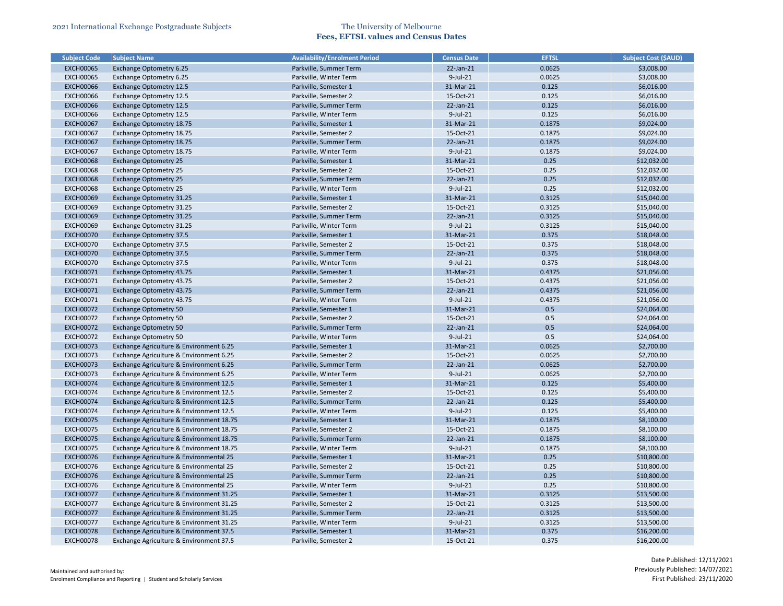| <b>Subject Code</b> | <b>Subject Name</b>                      | <b>Availability/Enrolment Period</b> | <b>Census Date</b> | <b>EFTSL</b>     | <b>Subject Cost (\$AUD)</b> |
|---------------------|------------------------------------------|--------------------------------------|--------------------|------------------|-----------------------------|
| <b>EXCH00065</b>    | <b>Exchange Optometry 6.25</b>           | Parkville, Summer Term               | $22$ -Jan- $21$    | 0.0625           | \$3,008.00                  |
| <b>EXCH00065</b>    | Exchange Optometry 6.25                  | Parkville, Winter Term               | $9$ -Jul-21        | 0.0625           | \$3,008.00                  |
| <b>EXCH00066</b>    | <b>Exchange Optometry 12.5</b>           | Parkville, Semester 1                | 31-Mar-21          | 0.125            | \$6,016.00                  |
| <b>EXCH00066</b>    | <b>Exchange Optometry 12.5</b>           | Parkville, Semester 2                | 15-Oct-21          | 0.125            | \$6,016.00                  |
| <b>EXCH00066</b>    | <b>Exchange Optometry 12.5</b>           | Parkville, Summer Term               | 22-Jan-21          | 0.125            | \$6,016.00                  |
| <b>EXCH00066</b>    | <b>Exchange Optometry 12.5</b>           | Parkville, Winter Term               | 9-Jul-21           | 0.125            | \$6,016.00                  |
| <b>EXCH00067</b>    | <b>Exchange Optometry 18.75</b>          | Parkville, Semester 1                | 31-Mar-21          | 0.1875           | \$9,024.00                  |
| <b>EXCH00067</b>    | Exchange Optometry 18.75                 | Parkville, Semester 2                | 15-Oct-21          | 0.1875           | \$9,024.00                  |
| <b>EXCH00067</b>    | Exchange Optometry 18.75                 | Parkville, Summer Term               | 22-Jan-21          | 0.1875           | \$9,024.00                  |
| <b>EXCH00067</b>    | Exchange Optometry 18.75                 | Parkville, Winter Term               | 9-Jul-21           | 0.1875           | \$9,024.00                  |
| <b>EXCH00068</b>    | <b>Exchange Optometry 25</b>             | Parkville, Semester 1                | 31-Mar-21          | 0.25             | \$12,032.00                 |
| <b>EXCH00068</b>    | <b>Exchange Optometry 25</b>             | Parkville, Semester 2                | 15-Oct-21          | 0.25             | \$12,032.00                 |
| <b>EXCH00068</b>    | <b>Exchange Optometry 25</b>             | Parkville, Summer Term               | 22-Jan-21          | 0.25             | \$12,032.00                 |
| <b>EXCH00068</b>    | <b>Exchange Optometry 25</b>             | Parkville, Winter Term               | 9-Jul-21           | 0.25             | \$12,032.00                 |
| <b>EXCH00069</b>    | Exchange Optometry 31.25                 | Parkville, Semester 1                | 31-Mar-21          | 0.3125           | \$15,040.00                 |
| <b>EXCH00069</b>    | Exchange Optometry 31.25                 | Parkville, Semester 2                | 15-Oct-21          | 0.3125           | \$15,040.00                 |
| <b>EXCH00069</b>    | <b>Exchange Optometry 31.25</b>          | Parkville, Summer Term               | 22-Jan-21          | 0.3125           | \$15,040.00                 |
| <b>EXCH00069</b>    | <b>Exchange Optometry 31.25</b>          | Parkville, Winter Term               | $9$ -Jul-21        | 0.3125           | \$15,040.00                 |
| <b>EXCH00070</b>    | <b>Exchange Optometry 37.5</b>           | Parkville, Semester 1                | 31-Mar-21          | 0.375            | \$18,048.00                 |
| <b>EXCH00070</b>    | <b>Exchange Optometry 37.5</b>           | Parkville, Semester 2                | 15-Oct-21          | 0.375            | \$18,048.00                 |
| <b>EXCH00070</b>    | <b>Exchange Optometry 37.5</b>           | Parkville, Summer Term               | 22-Jan-21          | 0.375            | \$18,048.00                 |
| <b>EXCH00070</b>    | <b>Exchange Optometry 37.5</b>           | Parkville, Winter Term               | 9-Jul-21           | 0.375            | \$18,048.00                 |
| <b>EXCH00071</b>    | <b>Exchange Optometry 43.75</b>          | Parkville, Semester 1                | 31-Mar-21          | 0.4375           | \$21,056.00                 |
| <b>EXCH00071</b>    | Exchange Optometry 43.75                 | Parkville, Semester 2                | 15-Oct-21          | 0.4375           | \$21,056.00                 |
| <b>EXCH00071</b>    | Exchange Optometry 43.75                 | Parkville, Summer Term               | 22-Jan-21          | 0.4375           | \$21,056.00                 |
| <b>EXCH00071</b>    | Exchange Optometry 43.75                 | Parkville, Winter Term               | 9-Jul-21           | 0.4375           | \$21,056.00                 |
| <b>EXCH00072</b>    | <b>Exchange Optometry 50</b>             | Parkville, Semester 1                | 31-Mar-21          | 0.5              | \$24,064.00                 |
| <b>EXCH00072</b>    | <b>Exchange Optometry 50</b>             | Parkville, Semester 2                | 15-Oct-21          | 0.5              | \$24,064.00                 |
| <b>EXCH00072</b>    | <b>Exchange Optometry 50</b>             | Parkville, Summer Term               | 22-Jan-21          | 0.5              | \$24,064.00                 |
| <b>EXCH00072</b>    | <b>Exchange Optometry 50</b>             | Parkville, Winter Term               | $9$ -Jul-21        | 0.5              | \$24,064.00                 |
| <b>EXCH00073</b>    | Exchange Agriculture & Environment 6.25  | Parkville, Semester 1                | 31-Mar-21          | 0.0625           | \$2,700.00                  |
| <b>EXCH00073</b>    | Exchange Agriculture & Environment 6.25  | Parkville, Semester 2                | 15-Oct-21          | 0.0625           | \$2,700.00                  |
| <b>EXCH00073</b>    | Exchange Agriculture & Environment 6.25  | Parkville, Summer Term               | $22$ -Jan- $21$    | 0.0625           | \$2,700.00                  |
| <b>EXCH00073</b>    | Exchange Agriculture & Environment 6.25  | Parkville, Winter Term               | $9$ -Jul-21        | 0.0625           | \$2,700.00                  |
| <b>EXCH00074</b>    | Exchange Agriculture & Environment 12.5  | Parkville, Semester 1                | 31-Mar-21          | 0.125            | \$5,400.00                  |
| <b>EXCH00074</b>    | Exchange Agriculture & Environment 12.5  | Parkville, Semester 2                | 15-Oct-21          | 0.125            | \$5,400.00                  |
| <b>EXCH00074</b>    | Exchange Agriculture & Environment 12.5  | Parkville, Summer Term               | 22-Jan-21          | 0.125            | \$5,400.00                  |
| <b>EXCH00074</b>    | Exchange Agriculture & Environment 12.5  | Parkville, Winter Term               | 9-Jul-21           | 0.125            | \$5,400.00                  |
| <b>EXCH00075</b>    | Exchange Agriculture & Environment 18.75 | Parkville, Semester 1                | 31-Mar-21          | 0.1875           | \$8,100.00                  |
| <b>EXCH00075</b>    | Exchange Agriculture & Environment 18.75 | Parkville, Semester 2                | 15-Oct-21          | 0.1875           | \$8,100.00                  |
| <b>EXCH00075</b>    | Exchange Agriculture & Environment 18.75 | Parkville, Summer Term               | 22-Jan-21          | 0.1875           | \$8,100.00                  |
| <b>EXCH00075</b>    | Exchange Agriculture & Environment 18.75 | Parkville, Winter Term               | 9-Jul-21           | 0.1875           | \$8,100.00                  |
| <b>EXCH00076</b>    | Exchange Agriculture & Environmental 25  | Parkville, Semester 1                | 31-Mar-21          | 0.25             | \$10,800.00                 |
| <b>EXCH00076</b>    | Exchange Agriculture & Environmental 25  | Parkville, Semester 2                | 15-Oct-21          | 0.25             | \$10,800.00                 |
| <b>EXCH00076</b>    | Exchange Agriculture & Environmental 25  | Parkville, Summer Term               | $22$ -Jan- $21$    | 0.25             | \$10,800.00                 |
| <b>EXCH00076</b>    | Exchange Agriculture & Environmental 25  | Parkville, Winter Term               | 9-Jul-21           | 0.25             |                             |
|                     |                                          |                                      |                    |                  | \$10,800.00                 |
| <b>EXCH00077</b>    | Exchange Agriculture & Environment 31.25 | Parkville, Semester 1                | 31-Mar-21          | 0.3125           | \$13,500.00                 |
| <b>EXCH00077</b>    | Exchange Agriculture & Environment 31.25 | Parkville, Semester 2                | 15-Oct-21          | 0.3125<br>0.3125 | \$13,500.00                 |
| <b>EXCH00077</b>    | Exchange Agriculture & Environment 31.25 | Parkville, Summer Term               | 22-Jan-21          |                  | \$13,500.00                 |
| <b>EXCH00077</b>    | Exchange Agriculture & Environment 31.25 | Parkville, Winter Term               | 9-Jul-21           | 0.3125           | \$13,500.00                 |
| <b>EXCH00078</b>    | Exchange Agriculture & Environment 37.5  | Parkville, Semester 1                | 31-Mar-21          | 0.375            | \$16,200.00                 |
| <b>EXCH00078</b>    | Exchange Agriculture & Environment 37.5  | Parkville, Semester 2                | 15-Oct-21          | 0.375            | \$16,200.00                 |

| <b>Subject Cost (\$AUD)</b> |
|-----------------------------|
| \$3,008.00                  |
| \$3,008.00                  |
| \$6,016.00                  |
| \$6,016.00                  |
| \$6,016.00                  |
| \$6,016.00                  |
| \$9,024.00                  |
| \$9,024.00                  |
| \$9,024.00                  |
| \$9,024.00                  |
| \$12,032.00                 |
| \$12,032.00                 |
| \$12,032.00                 |
|                             |
| \$12,032.00                 |
| \$15,040.00                 |
| \$15,040.00                 |
| \$15,040.00                 |
| \$15,040.00                 |
| \$18,048.00                 |
| \$18,048.00                 |
| \$18,048.00                 |
| \$18,048.00                 |
| \$21,056.00                 |
| \$21,056.00                 |
| \$21,056.00                 |
| \$21,056.00                 |
| \$24,064.00                 |
| \$24,064.00                 |
| \$24,064.00                 |
| \$24,064.00                 |
| \$2,700.00                  |
| \$2,700.00                  |
| \$2,700.00                  |
| \$2,700.00                  |
| \$5,400.00                  |
| \$5,400.00                  |
| \$5,400.00                  |
| \$5,400.00                  |
| \$8,100.00                  |
| \$8,100.00                  |
|                             |
| \$8,100.00                  |
| \$8,100.00                  |
| \$10,800.00                 |
| \$10,800.00                 |
| \$10,800.00                 |
| \$10,800.00                 |
| \$13,500.00                 |
| \$13,500.00                 |
| \$13,500.00                 |
| \$13,500.00                 |
| \$16,200.00                 |
| \$16,200.00                 |
|                             |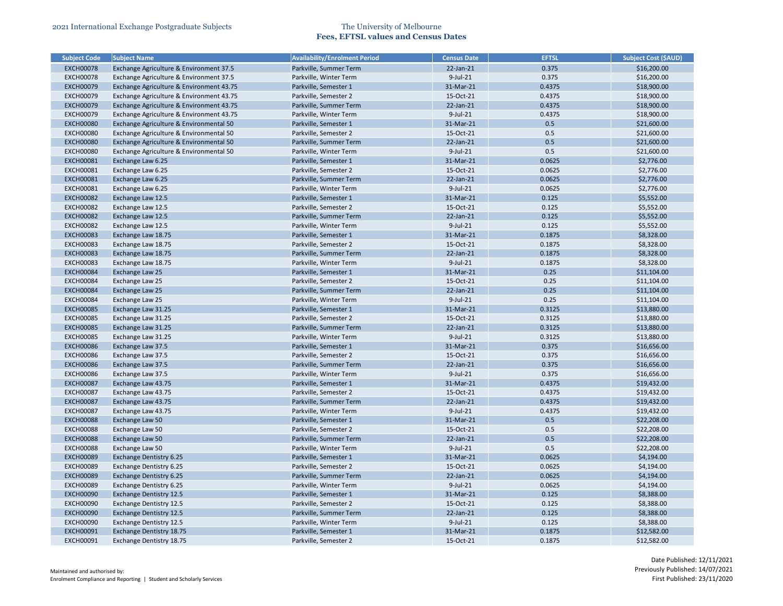| <b>Subject Code</b> | <b>Subject Name</b>                      | <b>Availability/Enrolment Period</b> | <b>Census Date</b> | <b>EFTSL</b> | <b>Subject Cost (\$AUD)</b> |
|---------------------|------------------------------------------|--------------------------------------|--------------------|--------------|-----------------------------|
| <b>EXCH00078</b>    | Exchange Agriculture & Environment 37.5  | Parkville, Summer Term               | 22-Jan-21          | 0.375        | \$16,200.00                 |
| <b>EXCH00078</b>    | Exchange Agriculture & Environment 37.5  | Parkville, Winter Term               | 9-Jul-21           | 0.375        | \$16,200.00                 |
| <b>EXCH00079</b>    | Exchange Agriculture & Environment 43.75 | Parkville, Semester 1                | 31-Mar-21          | 0.4375       | \$18,900.00                 |
| <b>EXCH00079</b>    | Exchange Agriculture & Environment 43.75 | Parkville, Semester 2                | 15-Oct-21          | 0.4375       | \$18,900.00                 |
| <b>EXCH00079</b>    | Exchange Agriculture & Environment 43.75 | Parkville, Summer Term               | 22-Jan-21          | 0.4375       | \$18,900.00                 |
| <b>EXCH00079</b>    | Exchange Agriculture & Environment 43.75 | Parkville, Winter Term               | $9$ -Jul-21        | 0.4375       | \$18,900.00                 |
| <b>EXCH00080</b>    | Exchange Agriculture & Environmental 50  | Parkville, Semester 1                | 31-Mar-21          | 0.5          | \$21,600.00                 |
| <b>EXCH00080</b>    | Exchange Agriculture & Environmental 50  | Parkville, Semester 2                | 15-Oct-21          | 0.5          | \$21,600.00                 |
| <b>EXCH00080</b>    | Exchange Agriculture & Environmental 50  | Parkville, Summer Term               | 22-Jan-21          | 0.5          | \$21,600.00                 |
| <b>EXCH00080</b>    | Exchange Agriculture & Environmental 50  | Parkville, Winter Term               | 9-Jul-21           | 0.5          | \$21,600.00                 |
| <b>EXCH00081</b>    | Exchange Law 6.25                        | Parkville, Semester 1                | 31-Mar-21          | 0.0625       | \$2,776.00                  |
| <b>EXCH00081</b>    | Exchange Law 6.25                        | Parkville, Semester 2                | 15-Oct-21          | 0.0625       | \$2,776.00                  |
| <b>EXCH00081</b>    | Exchange Law 6.25                        | Parkville, Summer Term               | 22-Jan-21          | 0.0625       | \$2,776.00                  |
| <b>EXCH00081</b>    | Exchange Law 6.25                        | Parkville, Winter Term               | 9-Jul-21           | 0.0625       | \$2,776.00                  |
| <b>EXCH00082</b>    | Exchange Law 12.5                        | Parkville, Semester 1                | 31-Mar-21          | 0.125        | \$5,552.00                  |
| <b>EXCH00082</b>    | Exchange Law 12.5                        | Parkville, Semester 2                | 15-Oct-21          | 0.125        | \$5,552.00                  |
| <b>EXCH00082</b>    | Exchange Law 12.5                        | Parkville, Summer Term               | 22-Jan-21          | 0.125        | \$5,552.00                  |
| <b>EXCH00082</b>    | Exchange Law 12.5                        | Parkville, Winter Term               | 9-Jul-21           | 0.125        | \$5,552.00                  |
| <b>EXCH00083</b>    | Exchange Law 18.75                       | Parkville, Semester 1                | 31-Mar-21          | 0.1875       | \$8,328.00                  |
| <b>EXCH00083</b>    | Exchange Law 18.75                       | Parkville, Semester 2                | 15-Oct-21          | 0.1875       | \$8,328.00                  |
| <b>EXCH00083</b>    | Exchange Law 18.75                       | Parkville, Summer Term               | 22-Jan-21          | 0.1875       | \$8,328.00                  |
| <b>EXCH00083</b>    | Exchange Law 18.75                       | Parkville, Winter Term               | $9$ -Jul-21        | 0.1875       | \$8,328.00                  |
| <b>EXCH00084</b>    | Exchange Law 25                          | Parkville, Semester 1                | 31-Mar-21          | 0.25         | \$11,104.00                 |
| <b>EXCH00084</b>    | Exchange Law 25                          | Parkville, Semester 2                | 15-Oct-21          | 0.25         | \$11,104.00                 |
| <b>EXCH00084</b>    | Exchange Law 25                          | Parkville, Summer Term               | 22-Jan-21          | 0.25         | \$11,104.00                 |
| <b>EXCH00084</b>    | Exchange Law 25                          | Parkville, Winter Term               | 9-Jul-21           | 0.25         | \$11,104.00                 |
| <b>EXCH00085</b>    | Exchange Law 31.25                       | Parkville, Semester 1                | 31-Mar-21          | 0.3125       | \$13,880.00                 |
| <b>EXCH00085</b>    | Exchange Law 31.25                       | Parkville, Semester 2                | 15-Oct-21          | 0.3125       | \$13,880.00                 |
| <b>EXCH00085</b>    | Exchange Law 31.25                       | Parkville, Summer Term               | 22-Jan-21          | 0.3125       | \$13,880.00                 |
| <b>EXCH00085</b>    | Exchange Law 31.25                       | Parkville, Winter Term               | 9-Jul-21           | 0.3125       | \$13,880.00                 |
| <b>EXCH00086</b>    | Exchange Law 37.5                        | Parkville, Semester 1                | 31-Mar-21          | 0.375        | \$16,656.00                 |
| <b>EXCH00086</b>    | Exchange Law 37.5                        | Parkville, Semester 2                | 15-Oct-21          | 0.375        | \$16,656.00                 |
| <b>EXCH00086</b>    | Exchange Law 37.5                        | Parkville, Summer Term               | 22-Jan-21          | 0.375        | \$16,656.00                 |
| <b>EXCH00086</b>    | Exchange Law 37.5                        | Parkville, Winter Term               | $9$ -Jul-21        | 0.375        | \$16,656.00                 |
| <b>EXCH00087</b>    | Exchange Law 43.75                       | Parkville, Semester 1                | 31-Mar-21          | 0.4375       | \$19,432.00                 |
| <b>EXCH00087</b>    | Exchange Law 43.75                       | Parkville, Semester 2                | 15-Oct-21          | 0.4375       | \$19,432.00                 |
| <b>EXCH00087</b>    | Exchange Law 43.75                       | Parkville, Summer Term               | 22-Jan-21          | 0.4375       | \$19,432.00                 |
| <b>EXCH00087</b>    | Exchange Law 43.75                       | Parkville, Winter Term               | $9$ -Jul-21        | 0.4375       | \$19,432.00                 |
| <b>EXCH00088</b>    | Exchange Law 50                          | Parkville, Semester 1                | 31-Mar-21          | 0.5          | \$22,208.00                 |
| <b>EXCH00088</b>    | Exchange Law 50                          | Parkville, Semester 2                | 15-Oct-21          | 0.5          | \$22,208.00                 |
| <b>EXCH00088</b>    | <b>Exchange Law 50</b>                   | Parkville, Summer Term               | 22-Jan-21          | 0.5          | \$22,208.00                 |
| <b>EXCH00088</b>    | Exchange Law 50                          | Parkville, Winter Term               | $9$ -Jul-21        | 0.5          | \$22,208.00                 |
| <b>EXCH00089</b>    | Exchange Dentistry 6.25                  | Parkville, Semester 1                | 31-Mar-21          | 0.0625       | \$4,194.00                  |
| <b>EXCH00089</b>    | <b>Exchange Dentistry 6.25</b>           | Parkville, Semester 2                | 15-Oct-21          | 0.0625       | \$4,194.00                  |
| <b>EXCH00089</b>    | Exchange Dentistry 6.25                  | Parkville, Summer Term               | $22$ -Jan- $21$    | 0.0625       | \$4,194.00                  |
| <b>EXCH00089</b>    | Exchange Dentistry 6.25                  | Parkville, Winter Term               | $9$ -Jul-21        | 0.0625       | \$4,194.00                  |
| <b>EXCH00090</b>    | <b>Exchange Dentistry 12.5</b>           | Parkville, Semester 1                | 31-Mar-21          | 0.125        | \$8,388.00                  |
| <b>EXCH00090</b>    | Exchange Dentistry 12.5                  | Parkville, Semester 2                | 15-Oct-21          | 0.125        | \$8,388.00                  |
| <b>EXCH00090</b>    | <b>Exchange Dentistry 12.5</b>           | Parkville, Summer Term               | $22$ -Jan- $21$    | 0.125        | \$8,388.00                  |
| <b>EXCH00090</b>    | Exchange Dentistry 12.5                  | Parkville, Winter Term               | $9$ -Jul-21        | 0.125        | \$8,388.00                  |
| <b>EXCH00091</b>    | Exchange Dentistry 18.75                 | Parkville, Semester 1                | 31-Mar-21          | 0.1875       | \$12,582.00                 |
| <b>EXCH00091</b>    | Exchange Dentistry 18.75                 | Parkville, Semester 2                | 15-Oct-21          | 0.1875       | \$12,582.00                 |

| <b>Subject Cost (\$AUD)</b> |
|-----------------------------|
| \$16,200.00                 |
| \$16,200.00                 |
| \$18,900.00                 |
| \$18,900.00                 |
| \$18,900.00                 |
| \$18,900.00                 |
| \$21,600.00                 |
| \$21,600.00                 |
| \$21,600.00                 |
| \$21,600.00                 |
| \$2,776.00                  |
| \$2,776.00                  |
| \$2,776.00                  |
| \$2,776.00                  |
| \$5,552.00                  |
| \$5,552.00                  |
| \$5,552.00                  |
| \$5,552.00                  |
| \$8,328.00                  |
| \$8,328.00                  |
| \$8,328.00                  |
| \$8,328.00                  |
| \$11,104.00                 |
| \$11,104.00                 |
| \$11,104.00                 |
| \$11,104.00                 |
| \$13,880.00                 |
| \$13,880.00                 |
| \$13,880.00                 |
| \$13,880.00                 |
| \$16,656.00                 |
| \$16,656.00                 |
| \$16,656.00                 |
| \$16,656.00                 |
| \$19,432.00                 |
| \$19,432.00                 |
| \$19,432.00                 |
| \$19,432.00                 |
| \$22,208.00                 |
| \$22,208.00                 |
| \$22,208.00                 |
| \$22,208.00                 |
| \$4,194.00                  |
| \$4,194.00                  |
| \$4,194.00                  |
| \$4,194.00                  |
|                             |
| \$8,388.00                  |
| \$8,388.00                  |
| \$8,388.00                  |
| \$8,388.00                  |
| \$12,582.00                 |
| \$12,582.00                 |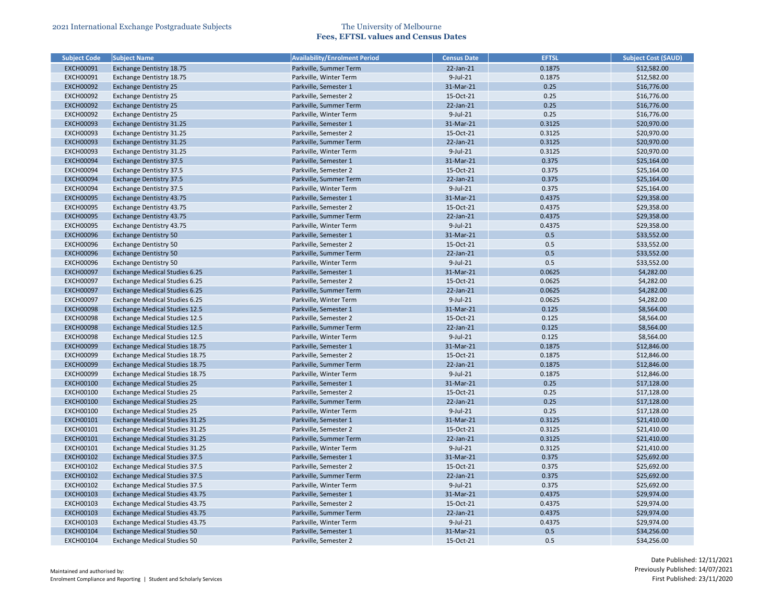| <b>Subject Code</b> | Subject Name                          | <b>Availability/Enrolment Period</b> | <b>Census Date</b> | <b>EFTSL</b> | <b>Subject Cost (\$AUD)</b> |
|---------------------|---------------------------------------|--------------------------------------|--------------------|--------------|-----------------------------|
| <b>EXCH00091</b>    | Exchange Dentistry 18.75              | Parkville, Summer Term               | 22-Jan-21          | 0.1875       | \$12,582.00                 |
| <b>EXCH00091</b>    | Exchange Dentistry 18.75              | Parkville, Winter Term               | 9-Jul-21           | 0.1875       | \$12,582.00                 |
| <b>EXCH00092</b>    | <b>Exchange Dentistry 25</b>          | Parkville, Semester 1                | 31-Mar-21          | 0.25         | \$16,776.00                 |
| <b>EXCH00092</b>    | <b>Exchange Dentistry 25</b>          | Parkville, Semester 2                | 15-Oct-21          | 0.25         | \$16,776.00                 |
| <b>EXCH00092</b>    | <b>Exchange Dentistry 25</b>          | Parkville, Summer Term               | 22-Jan-21          | 0.25         | \$16,776.00                 |
| <b>EXCH00092</b>    | <b>Exchange Dentistry 25</b>          | Parkville, Winter Term               | 9-Jul-21           | 0.25         | \$16,776.00                 |
| <b>EXCH00093</b>    | <b>Exchange Dentistry 31.25</b>       | Parkville, Semester 1                | 31-Mar-21          | 0.3125       | \$20,970.00                 |
| <b>EXCH00093</b>    | Exchange Dentistry 31.25              | Parkville, Semester 2                | 15-Oct-21          | 0.3125       | \$20,970.00                 |
| <b>EXCH00093</b>    | <b>Exchange Dentistry 31.25</b>       | Parkville, Summer Term               | 22-Jan-21          | 0.3125       | \$20,970.00                 |
| <b>EXCH00093</b>    | Exchange Dentistry 31.25              | Parkville, Winter Term               | 9-Jul-21           | 0.3125       | \$20,970.00                 |
| <b>EXCH00094</b>    | <b>Exchange Dentistry 37.5</b>        | Parkville, Semester 1                | 31-Mar-21          | 0.375        | \$25,164.00                 |
| <b>EXCH00094</b>    | <b>Exchange Dentistry 37.5</b>        | Parkville, Semester 2                | 15-Oct-21          | 0.375        | \$25,164.00                 |
| <b>EXCH00094</b>    | <b>Exchange Dentistry 37.5</b>        | Parkville, Summer Term               | 22-Jan-21          | 0.375        | \$25,164.00                 |
| <b>EXCH00094</b>    | <b>Exchange Dentistry 37.5</b>        | Parkville, Winter Term               | 9-Jul-21           | 0.375        | \$25,164.00                 |
| <b>EXCH00095</b>    | Exchange Dentistry 43.75              | Parkville, Semester 1                | 31-Mar-21          | 0.4375       | \$29,358.00                 |
| <b>EXCH00095</b>    | Exchange Dentistry 43.75              | Parkville, Semester 2                | 15-Oct-21          | 0.4375       | \$29,358.00                 |
| <b>EXCH00095</b>    | Exchange Dentistry 43.75              | Parkville, Summer Term               | 22-Jan-21          | 0.4375       | \$29,358.00                 |
| <b>EXCH00095</b>    | Exchange Dentistry 43.75              | Parkville, Winter Term               | $9$ -Jul-21        | 0.4375       | \$29,358.00                 |
| <b>EXCH00096</b>    | <b>Exchange Dentistry 50</b>          | Parkville, Semester 1                | 31-Mar-21          | 0.5          | \$33,552.00                 |
| <b>EXCH00096</b>    | <b>Exchange Dentistry 50</b>          | Parkville, Semester 2                | 15-Oct-21          | 0.5          | \$33,552.00                 |
| <b>EXCH00096</b>    | <b>Exchange Dentistry 50</b>          | Parkville, Summer Term               | 22-Jan-21          | 0.5          | \$33,552.00                 |
| <b>EXCH00096</b>    | <b>Exchange Dentistry 50</b>          | Parkville, Winter Term               | 9-Jul-21           | 0.5          | \$33,552.00                 |
| <b>EXCH00097</b>    | <b>Exchange Medical Studies 6.25</b>  | Parkville, Semester 1                | 31-Mar-21          | 0.0625       | \$4,282.00                  |
| <b>EXCH00097</b>    | <b>Exchange Medical Studies 6.25</b>  | Parkville, Semester 2                | 15-Oct-21          | 0.0625       | \$4,282.00                  |
| <b>EXCH00097</b>    | <b>Exchange Medical Studies 6.25</b>  | Parkville, Summer Term               | 22-Jan-21          | 0.0625       | \$4,282.00                  |
| <b>EXCH00097</b>    | <b>Exchange Medical Studies 6.25</b>  | Parkville, Winter Term               | 9-Jul-21           | 0.0625       | \$4,282.00                  |
| <b>EXCH00098</b>    | <b>Exchange Medical Studies 12.5</b>  | Parkville, Semester 1                | 31-Mar-21          | 0.125        | \$8,564.00                  |
| <b>EXCH00098</b>    | <b>Exchange Medical Studies 12.5</b>  | Parkville, Semester 2                | 15-Oct-21          | 0.125        | \$8,564.00                  |
| <b>EXCH00098</b>    | <b>Exchange Medical Studies 12.5</b>  | Parkville, Summer Term               | 22-Jan-21          | 0.125        | \$8,564.00                  |
| <b>EXCH00098</b>    | <b>Exchange Medical Studies 12.5</b>  | Parkville, Winter Term               | $9$ -Jul-21        | 0.125        | \$8,564.00                  |
| <b>EXCH00099</b>    | <b>Exchange Medical Studies 18.75</b> | Parkville, Semester 1                | 31-Mar-21          | 0.1875       | \$12,846.00                 |
| <b>EXCH00099</b>    | Exchange Medical Studies 18.75        | Parkville, Semester 2                | 15-Oct-21          | 0.1875       | \$12,846.00                 |
| <b>EXCH00099</b>    | <b>Exchange Medical Studies 18.75</b> | Parkville, Summer Term               | 22-Jan-21          | 0.1875       | \$12,846.00                 |
| <b>EXCH00099</b>    | <b>Exchange Medical Studies 18.75</b> | Parkville, Winter Term               | $9$ -Jul-21        | 0.1875       | \$12,846.00                 |
| <b>EXCH00100</b>    | <b>Exchange Medical Studies 25</b>    | Parkville, Semester 1                | 31-Mar-21          | 0.25         | \$17,128.00                 |
| <b>EXCH00100</b>    | <b>Exchange Medical Studies 25</b>    | Parkville, Semester 2                | 15-Oct-21          | 0.25         | \$17,128.00                 |
| <b>EXCH00100</b>    | <b>Exchange Medical Studies 25</b>    | Parkville, Summer Term               | 22-Jan-21          | 0.25         | \$17,128.00                 |
| <b>EXCH00100</b>    | <b>Exchange Medical Studies 25</b>    | Parkville, Winter Term               | 9-Jul-21           | 0.25         | \$17,128.00                 |
| <b>EXCH00101</b>    | <b>Exchange Medical Studies 31.25</b> | Parkville, Semester 1                | 31-Mar-21          | 0.3125       | \$21,410.00                 |
| <b>EXCH00101</b>    | <b>Exchange Medical Studies 31.25</b> | Parkville, Semester 2                | 15-Oct-21          | 0.3125       | \$21,410.00                 |
| <b>EXCH00101</b>    | Exchange Medical Studies 31.25        | Parkville, Summer Term               | $22$ -Jan- $21$    | 0.3125       | \$21,410.00                 |
| <b>EXCH00101</b>    | Exchange Medical Studies 31.25        | Parkville, Winter Term               | 9-Jul-21           | 0.3125       | \$21,410.00                 |
| <b>EXCH00102</b>    | <b>Exchange Medical Studies 37.5</b>  | Parkville, Semester 1                | 31-Mar-21          | 0.375        | \$25,692.00                 |
|                     |                                       |                                      |                    |              |                             |
| <b>EXCH00102</b>    | <b>Exchange Medical Studies 37.5</b>  | Parkville, Semester 2                | 15-Oct-21          | 0.375        | \$25,692.00                 |
| <b>EXCH00102</b>    | <b>Exchange Medical Studies 37.5</b>  | Parkville, Summer Term               | 22-Jan-21          | 0.375        | \$25,692.00                 |
| <b>EXCH00102</b>    | <b>Exchange Medical Studies 37.5</b>  | Parkville, Winter Term               | 9-Jul-21           | 0.375        | \$25,692.00                 |
| <b>EXCH00103</b>    | <b>Exchange Medical Studies 43.75</b> | Parkville, Semester 1                | 31-Mar-21          | 0.4375       | \$29,974.00                 |
| <b>EXCH00103</b>    | Exchange Medical Studies 43.75        | Parkville, Semester 2                | 15-Oct-21          | 0.4375       | \$29,974.00                 |
| <b>EXCH00103</b>    | <b>Exchange Medical Studies 43.75</b> | Parkville, Summer Term               | $22$ -Jan- $21$    | 0.4375       | \$29,974.00                 |
| <b>EXCH00103</b>    | Exchange Medical Studies 43.75        | Parkville, Winter Term               | 9-Jul-21           | 0.4375       | \$29,974.00                 |
| <b>EXCH00104</b>    | <b>Exchange Medical Studies 50</b>    | Parkville, Semester 1                | 31-Mar-21          | 0.5          | \$34,256.00                 |
| <b>EXCH00104</b>    | <b>Exchange Medical Studies 50</b>    | Parkville, Semester 2                | 15-Oct-21          | 0.5          | \$34,256.00                 |

| Subject Cost (\$AUD) |
|----------------------|
| \$12,582.00          |
| \$12,582.00          |
| \$16,776.00          |
| \$16,776.00          |
| \$16,776.00          |
| \$16,776.00          |
| \$20,970.00          |
| \$20,970.00          |
| \$20,970.00          |
| \$20,970.00          |
| \$25,164.00          |
| \$25,164.00          |
| \$25,164.00          |
| \$25,164.00          |
| \$29,358.00          |
| \$29,358.00          |
| \$29,358.00          |
| \$29,358.00          |
| \$33,552.00          |
| \$33,552.00          |
| \$33,552.00          |
| \$33,552.00          |
| \$4,282.00           |
| \$4,282.00           |
| \$4,282.00           |
| \$4,282.00           |
| \$8,564.00           |
| \$8,564.00           |
| \$8,564.00           |
| \$8,564.00           |
| \$12,846.00          |
|                      |
| \$12,846.00          |
| \$12,846.00          |
| \$12,846.00          |
| \$17,128.00          |
| \$17,128.00          |
| \$17,128.00          |
| \$17,128.00          |
| \$21,410.00          |
| \$21,410.00          |
| \$21,410.00          |
| \$21,410.00          |
| \$25,692.00          |
| \$25,692.00          |
| \$25,692.00          |
| \$25,692.00          |
| \$29,974.00          |
| \$29,974.00          |
| \$29,974.00          |
| \$29,974.00          |
| \$34,256.00          |
| \$34,256.00          |
|                      |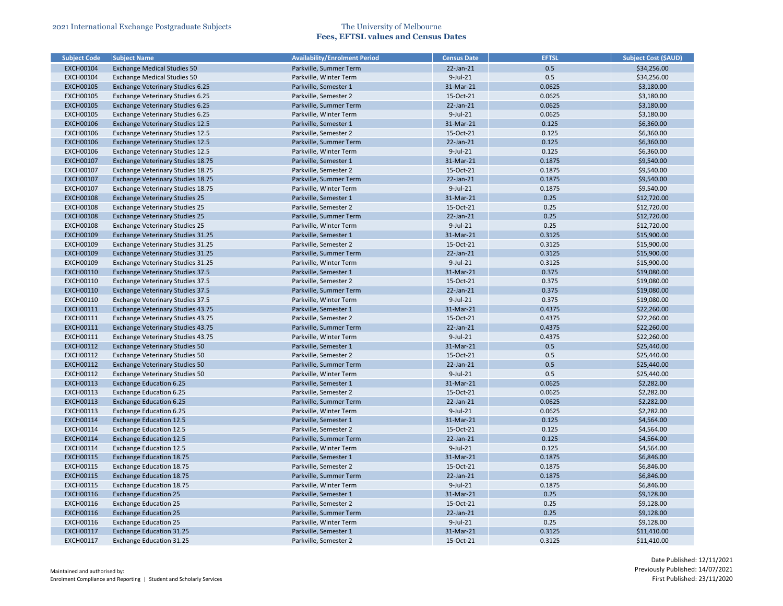| <b>Subject Code</b>           | <b>Subject Name</b>                                          | <b>Availability/Enrolment Period</b>           | <b>Census Date</b>     | <b>EFTSL</b> | <b>Subject Cost (\$AUD)</b> |
|-------------------------------|--------------------------------------------------------------|------------------------------------------------|------------------------|--------------|-----------------------------|
| <b>EXCH00104</b>              | <b>Exchange Medical Studies 50</b>                           | Parkville, Summer Term                         | $22$ -Jan- $21$        | 0.5          | \$34,256.00                 |
| <b>EXCH00104</b>              | <b>Exchange Medical Studies 50</b>                           | Parkville, Winter Term                         | $9$ -Jul-21            | 0.5          | \$34,256.00                 |
| <b>EXCH00105</b>              | <b>Exchange Veterinary Studies 6.25</b>                      | Parkville, Semester 1                          | 31-Mar-21              | 0.0625       | \$3,180.00                  |
| <b>EXCH00105</b>              | Exchange Veterinary Studies 6.25                             | Parkville, Semester 2                          | 15-Oct-21              | 0.0625       | \$3,180.00                  |
| <b>EXCH00105</b>              | <b>Exchange Veterinary Studies 6.25</b>                      | Parkville, Summer Term                         | 22-Jan-21              | 0.0625       | \$3,180.00                  |
| <b>EXCH00105</b>              | <b>Exchange Veterinary Studies 6.25</b>                      | Parkville, Winter Term                         | $9$ -Jul-21            | 0.0625       | \$3,180.00                  |
| <b>EXCH00106</b>              | <b>Exchange Veterinary Studies 12.5</b>                      | Parkville, Semester 1                          | 31-Mar-21              | 0.125        | \$6,360.00                  |
| <b>EXCH00106</b>              | <b>Exchange Veterinary Studies 12.5</b>                      | Parkville, Semester 2                          | 15-Oct-21              | 0.125        | \$6,360.00                  |
| <b>EXCH00106</b>              | <b>Exchange Veterinary Studies 12.5</b>                      | Parkville, Summer Term                         | $22$ -Jan- $21$        | 0.125        | \$6,360.00                  |
| <b>EXCH00106</b>              | <b>Exchange Veterinary Studies 12.5</b>                      | Parkville, Winter Term                         | 9-Jul-21               | 0.125        | \$6,360.00                  |
| <b>EXCH00107</b>              | <b>Exchange Veterinary Studies 18.75</b>                     | Parkville, Semester 1                          | 31-Mar-21              | 0.1875       | \$9,540.00                  |
| <b>EXCH00107</b>              | Exchange Veterinary Studies 18.75                            | Parkville, Semester 2                          | 15-Oct-21              | 0.1875       | \$9,540.00                  |
| <b>EXCH00107</b>              | <b>Exchange Veterinary Studies 18.75</b>                     | Parkville, Summer Term                         | 22-Jan-21              | 0.1875       | \$9,540.00                  |
| <b>EXCH00107</b>              | Exchange Veterinary Studies 18.75                            | Parkville, Winter Term                         | 9-Jul-21               | 0.1875       | \$9,540.00                  |
| <b>EXCH00108</b>              | <b>Exchange Veterinary Studies 25</b>                        | Parkville, Semester 1                          | 31-Mar-21              | 0.25         | \$12,720.00                 |
| <b>EXCH00108</b>              | <b>Exchange Veterinary Studies 25</b>                        | Parkville, Semester 2                          | 15-Oct-21              | 0.25         | \$12,720.00                 |
| <b>EXCH00108</b>              | <b>Exchange Veterinary Studies 25</b>                        | Parkville, Summer Term                         | $22$ -Jan- $21$        | 0.25         | \$12,720.00                 |
| <b>EXCH00108</b>              | <b>Exchange Veterinary Studies 25</b>                        | Parkville, Winter Term                         | $9$ -Jul-21            | 0.25         | \$12,720.00                 |
| <b>EXCH00109</b>              | <b>Exchange Veterinary Studies 31.25</b>                     | Parkville, Semester 1                          | 31-Mar-21              | 0.3125       | \$15,900.00                 |
| <b>EXCH00109</b>              | Exchange Veterinary Studies 31.25                            | Parkville, Semester 2                          | 15-Oct-21              | 0.3125       | \$15,900.00                 |
| <b>EXCH00109</b>              | <b>Exchange Veterinary Studies 31.25</b>                     | Parkville, Summer Term                         | 22-Jan-21              | 0.3125       | \$15,900.00                 |
| <b>EXCH00109</b>              | Exchange Veterinary Studies 31.25                            | Parkville, Winter Term                         | $9$ -Jul-21            | 0.3125       | \$15,900.00                 |
| <b>EXCH00110</b>              | <b>Exchange Veterinary Studies 37.5</b>                      | Parkville, Semester 1                          | 31-Mar-21              | 0.375        | \$19,080.00                 |
| <b>EXCH00110</b>              | <b>Exchange Veterinary Studies 37.5</b>                      | Parkville, Semester 2                          | 15-Oct-21              | 0.375        | \$19,080.00                 |
| <b>EXCH00110</b>              | <b>Exchange Veterinary Studies 37.5</b>                      | Parkville, Summer Term                         | 22-Jan-21              | 0.375        | \$19,080.00                 |
| <b>EXCH00110</b>              | <b>Exchange Veterinary Studies 37.5</b>                      | Parkville, Winter Term                         | $9$ -Jul-21            | 0.375        | \$19,080.00                 |
| <b>EXCH00111</b>              | <b>Exchange Veterinary Studies 43.75</b>                     | Parkville, Semester 1                          | 31-Mar-21              | 0.4375       | \$22,260.00                 |
| <b>EXCH00111</b>              | Exchange Veterinary Studies 43.75                            | Parkville, Semester 2                          | 15-Oct-21              | 0.4375       | \$22,260.00                 |
| <b>EXCH00111</b>              | <b>Exchange Veterinary Studies 43.75</b>                     | Parkville, Summer Term                         | 22-Jan-21              | 0.4375       | \$22,260.00                 |
| <b>EXCH00111</b>              | Exchange Veterinary Studies 43.75                            | Parkville, Winter Term                         | 9-Jul-21               | 0.4375       | \$22,260.00                 |
| EXCH00112                     | Exchange Veterinary Studies 50                               | Parkville, Semester 1                          | 31-Mar-21              | 0.5          | \$25,440.00                 |
| <b>EXCH00112</b>              | Exchange Veterinary Studies 50                               | Parkville, Semester 2                          | 15-Oct-21              | 0.5          | \$25,440.00                 |
| <b>EXCH00112</b>              | <b>Exchange Veterinary Studies 50</b>                        | Parkville, Summer Term                         | 22-Jan-21              | 0.5          | \$25,440.00                 |
| <b>EXCH00112</b>              | <b>Exchange Veterinary Studies 50</b>                        | Parkville, Winter Term                         | $9$ -Jul-21            | 0.5          | \$25,440.00                 |
| <b>EXCH00113</b>              | <b>Exchange Education 6.25</b>                               | Parkville, Semester 1                          | 31-Mar-21              | 0.0625       | \$2,282.00                  |
| <b>EXCH00113</b>              | <b>Exchange Education 6.25</b>                               | Parkville, Semester 2                          | 15-Oct-21              | 0.0625       | \$2,282.00                  |
| <b>EXCH00113</b>              | <b>Exchange Education 6.25</b>                               | Parkville, Summer Term                         | 22-Jan-21              | 0.0625       | \$2,282.00                  |
| EXCH00113                     | <b>Exchange Education 6.25</b>                               | Parkville, Winter Term                         | $9$ -Jul-21            | 0.0625       | \$2,282.00                  |
| <b>EXCH00114</b>              | <b>Exchange Education 12.5</b>                               | Parkville, Semester 1                          | 31-Mar-21              | 0.125        | \$4,564.00                  |
| <b>EXCH00114</b>              | <b>Exchange Education 12.5</b>                               | Parkville, Semester 2                          | 15-Oct-21              | 0.125        | \$4,564.00                  |
| <b>EXCH00114</b>              | <b>Exchange Education 12.5</b>                               | Parkville, Summer Term                         | 22-Jan-21              | 0.125        | \$4,564.00                  |
| <b>EXCH00114</b>              | <b>Exchange Education 12.5</b>                               | Parkville, Winter Term                         | 9-Jul-21               | 0.125        | \$4,564.00                  |
| <b>EXCH00115</b>              | <b>Exchange Education 18.75</b>                              | Parkville, Semester 1                          | 31-Mar-21              | 0.1875       | \$6,846.00                  |
| <b>EXCH00115</b>              | <b>Exchange Education 18.75</b>                              | Parkville, Semester 2                          | 15-Oct-21              | 0.1875       | \$6,846.00                  |
| <b>EXCH00115</b>              | <b>Exchange Education 18.75</b>                              | Parkville, Summer Term                         | $22$ -Jan- $21$        | 0.1875       | \$6,846.00                  |
| <b>EXCH00115</b>              | <b>Exchange Education 18.75</b>                              | Parkville, Winter Term                         | $9$ -Jul-21            | 0.1875       | \$6,846.00                  |
|                               |                                                              |                                                |                        |              |                             |
| <b>EXCH00116</b><br>EXCH00116 | <b>Exchange Education 25</b><br><b>Exchange Education 25</b> | Parkville, Semester 1<br>Parkville, Semester 2 | 31-Mar-21<br>15-Oct-21 | 0.25<br>0.25 | \$9,128.00                  |
|                               |                                                              |                                                |                        | 0.25         | \$9,128.00                  |
| <b>EXCH00116</b>              | <b>Exchange Education 25</b>                                 | Parkville, Summer Term                         | $22$ -Jan- $21$        |              | \$9,128.00                  |
| EXCH00116                     | <b>Exchange Education 25</b>                                 | Parkville, Winter Term                         | 9-Jul-21               | 0.25         | \$9,128.00                  |
| <b>EXCH00117</b>              | <b>Exchange Education 31.25</b>                              | Parkville, Semester 1                          | 31-Mar-21              | 0.3125       | \$11,410.00                 |
| <b>EXCH00117</b>              | Exchange Education 31.25                                     | Parkville, Semester 2                          | 15-Oct-21              | 0.3125       | \$11,410.00                 |

| <b>Subject Cost (\$AUD)</b> |
|-----------------------------|
| \$34,256.00                 |
| \$34,256.00                 |
| \$3,180.00                  |
| \$3,180.00                  |
| \$3,180.00                  |
| \$3,180.00                  |
| \$6,360.00                  |
| \$6,360.00                  |
| \$6,360.00                  |
| \$6,360.00                  |
| \$9,540.00                  |
| \$9,540.00                  |
| \$9,540.00                  |
| \$9,540.00                  |
| \$12,720.00                 |
|                             |
| \$12,720.00                 |
| \$12,720.00                 |
| \$12,720.00                 |
| \$15,900.00                 |
| \$15,900.00                 |
| \$15,900.00                 |
| \$15,900.00                 |
| \$19,080.00                 |
| \$19,080.00                 |
| \$19,080.00                 |
| \$19,080.00                 |
| \$22,260.00                 |
| \$22,260.00                 |
| \$22,260.00                 |
| \$22,260.00                 |
| \$25,440.00                 |
| \$25,440.00                 |
| \$25,440.00                 |
| \$25,440.00                 |
| \$2,282.00                  |
| \$2,282.00                  |
| \$2,282.00                  |
| \$2,282.00                  |
| \$4,564.00                  |
| \$4,564.00                  |
| \$4,564.00                  |
| \$4,564.00                  |
| \$6,846.00                  |
| \$6,846.00                  |
| \$6,846.00                  |
| \$6,846.00                  |
| \$9,128.00                  |
|                             |
| \$9,128.00                  |
| \$9,128.00                  |
| \$9,128.00                  |
| \$11,410.00                 |
| \$11,410.00                 |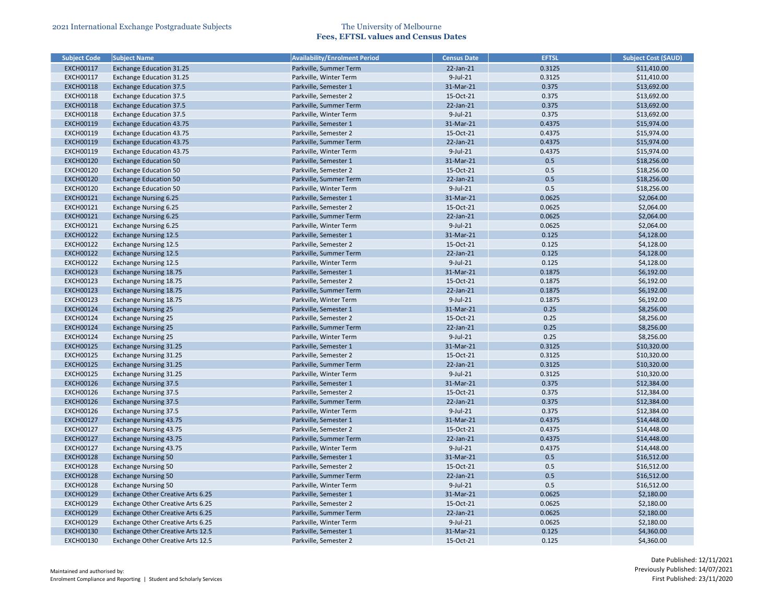| <b>Subject Code</b> | <b>Subject Name</b>               | <b>Availability/Enrolment Period</b>            | <b>Census Date</b> | <b>EFTSL</b> | <b>Subject Cost (\$AUD)</b> |
|---------------------|-----------------------------------|-------------------------------------------------|--------------------|--------------|-----------------------------|
| <b>EXCH00117</b>    | <b>Exchange Education 31.25</b>   | Parkville, Summer Term                          | 22-Jan-21          | 0.3125       | \$11,410.00                 |
| <b>EXCH00117</b>    | <b>Exchange Education 31.25</b>   | Parkville, Winter Term                          | $9$ -Jul-21        | 0.3125       | \$11,410.00                 |
| <b>EXCH00118</b>    | <b>Exchange Education 37.5</b>    | Parkville, Semester 1                           | 31-Mar-21          | 0.375        | \$13,692.00                 |
| <b>EXCH00118</b>    | <b>Exchange Education 37.5</b>    | Parkville, Semester 2                           | 15-Oct-21          | 0.375        | \$13,692.00                 |
| <b>EXCH00118</b>    | <b>Exchange Education 37.5</b>    | Parkville, Summer Term                          | 22-Jan-21          | 0.375        | \$13,692.00                 |
| <b>EXCH00118</b>    | <b>Exchange Education 37.5</b>    | Parkville, Winter Term                          | $9$ -Jul-21        | 0.375        | \$13,692.00                 |
| <b>EXCH00119</b>    | <b>Exchange Education 43.75</b>   | Parkville, Semester 1                           | 31-Mar-21          | 0.4375       | \$15,974.00                 |
| <b>EXCH00119</b>    | <b>Exchange Education 43.75</b>   | Parkville, Semester 2                           | 15-Oct-21          | 0.4375       | \$15,974.00                 |
| <b>EXCH00119</b>    | <b>Exchange Education 43.75</b>   | Parkville, Summer Term                          | 22-Jan-21          | 0.4375       | \$15,974.00                 |
| <b>EXCH00119</b>    | <b>Exchange Education 43.75</b>   | Parkville, Winter Term                          | $9$ -Jul-21        | 0.4375       | \$15,974.00                 |
| <b>EXCH00120</b>    | <b>Exchange Education 50</b>      | Parkville, Semester 1                           | 31-Mar-21          | 0.5          | \$18,256.00                 |
| <b>EXCH00120</b>    | <b>Exchange Education 50</b>      | Parkville, Semester 2                           | 15-Oct-21          | 0.5          | \$18,256.00                 |
| <b>EXCH00120</b>    | <b>Exchange Education 50</b>      | Parkville, Summer Term                          | 22-Jan-21          | 0.5          | \$18,256.00                 |
| <b>EXCH00120</b>    | <b>Exchange Education 50</b>      | Parkville, Winter Term                          | $9$ -Jul-21        | 0.5          | \$18,256.00                 |
| <b>EXCH00121</b>    | <b>Exchange Nursing 6.25</b>      | Parkville, Semester 1                           | 31-Mar-21          | 0.0625       | \$2,064.00                  |
| <b>EXCH00121</b>    | <b>Exchange Nursing 6.25</b>      | Parkville, Semester 2                           | 15-Oct-21          | 0.0625       | \$2,064.00                  |
| <b>EXCH00121</b>    | <b>Exchange Nursing 6.25</b>      | Parkville, Summer Term                          | 22-Jan-21          | 0.0625       | \$2,064.00                  |
| <b>EXCH00121</b>    | <b>Exchange Nursing 6.25</b>      | Parkville, Winter Term                          | $9$ -Jul-21        | 0.0625       | \$2,064.00                  |
| <b>EXCH00122</b>    | <b>Exchange Nursing 12.5</b>      | Parkville, Semester 1                           | 31-Mar-21          | 0.125        | \$4,128.00                  |
| <b>EXCH00122</b>    | <b>Exchange Nursing 12.5</b>      | Parkville, Semester 2                           | 15-Oct-21          | 0.125        | \$4,128.00                  |
| <b>EXCH00122</b>    | <b>Exchange Nursing 12.5</b>      | Parkville, Summer Term                          | 22-Jan-21          | 0.125        | \$4,128.00                  |
| <b>EXCH00122</b>    | <b>Exchange Nursing 12.5</b>      | Parkville, Winter Term                          | $9$ -Jul-21        | 0.125        | \$4,128.00                  |
| <b>EXCH00123</b>    | <b>Exchange Nursing 18.75</b>     | Parkville, Semester 1                           | 31-Mar-21          | 0.1875       | \$6,192.00                  |
| <b>EXCH00123</b>    | Exchange Nursing 18.75            | Parkville, Semester 2                           | 15-Oct-21          | 0.1875       | \$6,192.00                  |
| <b>EXCH00123</b>    | <b>Exchange Nursing 18.75</b>     | Parkville, Summer Term                          | 22-Jan-21          | 0.1875       | \$6,192.00                  |
| <b>EXCH00123</b>    | Exchange Nursing 18.75            | Parkville, Winter Term                          | $9$ -Jul-21        | 0.1875       | \$6,192.00                  |
| <b>EXCH00124</b>    | <b>Exchange Nursing 25</b>        | Parkville, Semester 1                           | 31-Mar-21          | 0.25         | \$8,256.00                  |
| <b>EXCH00124</b>    | <b>Exchange Nursing 25</b>        | Parkville, Semester 2                           | 15-Oct-21          | 0.25         | \$8,256.00                  |
| <b>EXCH00124</b>    | <b>Exchange Nursing 25</b>        | Parkville, Summer Term                          | 22-Jan-21          | 0.25         | \$8,256.00                  |
| <b>EXCH00124</b>    | <b>Exchange Nursing 25</b>        | Parkville, Winter Term                          | $9$ -Jul-21        | 0.25         | \$8,256.00                  |
| <b>EXCH00125</b>    | <b>Exchange Nursing 31.25</b>     | Parkville, Semester 1                           | 31-Mar-21          | 0.3125       | \$10,320.00                 |
| <b>EXCH00125</b>    | Exchange Nursing 31.25            | Parkville, Semester 2                           | 15-Oct-21          | 0.3125       | \$10,320.00                 |
| <b>EXCH00125</b>    | <b>Exchange Nursing 31.25</b>     | Parkville, Summer Term                          | 22-Jan-21          | 0.3125       | \$10,320.00                 |
| <b>EXCH00125</b>    | <b>Exchange Nursing 31.25</b>     | Parkville, Winter Term                          | $9$ -Jul-21        | 0.3125       | \$10,320.00                 |
| <b>EXCH00126</b>    | <b>Exchange Nursing 37.5</b>      | Parkville, Semester 1                           | 31-Mar-21          | 0.375        | \$12,384.00                 |
| <b>EXCH00126</b>    | <b>Exchange Nursing 37.5</b>      | Parkville, Semester 2                           | 15-Oct-21          | 0.375        | \$12,384.00                 |
| <b>EXCH00126</b>    | <b>Exchange Nursing 37.5</b>      | Parkville, Summer Term                          | 22-Jan-21          | 0.375        | \$12,384.00                 |
| <b>EXCH00126</b>    | <b>Exchange Nursing 37.5</b>      | Parkville, Winter Term                          | 9-Jul-21           | 0.375        | \$12,384.00                 |
| <b>EXCH00127</b>    | <b>Exchange Nursing 43.75</b>     | Parkville, Semester 1                           | 31-Mar-21          | 0.4375       | \$14,448.00                 |
| <b>EXCH00127</b>    | Exchange Nursing 43.75            | Parkville, Semester 2                           | 15-Oct-21          | 0.4375       | \$14,448.00                 |
| <b>EXCH00127</b>    | <b>Exchange Nursing 43.75</b>     | Parkville, Summer Term                          | 22-Jan-21          | 0.4375       | \$14,448.00                 |
| <b>EXCH00127</b>    | Exchange Nursing 43.75            | Parkville, Winter Term                          | $9$ -Jul-21        | 0.4375       | \$14,448.00                 |
| <b>EXCH00128</b>    | <b>Exchange Nursing 50</b>        | Parkville, Semester 1                           | 31-Mar-21          | 0.5          | \$16,512.00                 |
|                     |                                   |                                                 |                    | 0.5          |                             |
| <b>EXCH00128</b>    | <b>Exchange Nursing 50</b>        | Parkville, Semester 2<br>Parkville, Summer Term | 15-Oct-21          | 0.5          | \$16,512.00                 |
| <b>EXCH00128</b>    | <b>Exchange Nursing 50</b>        |                                                 | 22-Jan-21          |              | \$16,512.00                 |
| <b>EXCH00128</b>    | <b>Exchange Nursing 50</b>        | Parkville, Winter Term                          | $9$ -Jul-21        | 0.5          | \$16,512.00                 |
| <b>EXCH00129</b>    | Exchange Other Creative Arts 6.25 | Parkville, Semester 1                           | 31-Mar-21          | 0.0625       | \$2,180.00                  |
| <b>EXCH00129</b>    | Exchange Other Creative Arts 6.25 | Parkville, Semester 2                           | 15-Oct-21          | 0.0625       | \$2,180.00                  |
| <b>EXCH00129</b>    | Exchange Other Creative Arts 6.25 | Parkville, Summer Term                          | $22$ -Jan- $21$    | 0.0625       | \$2,180.00                  |
| <b>EXCH00129</b>    | Exchange Other Creative Arts 6.25 | Parkville, Winter Term                          | 9-Jul-21           | 0.0625       | \$2,180.00                  |
| <b>EXCH00130</b>    | Exchange Other Creative Arts 12.5 | Parkville, Semester 1                           | 31-Mar-21          | 0.125        | \$4,360.00                  |
| <b>EXCH00130</b>    | Exchange Other Creative Arts 12.5 | Parkville, Semester 2                           | 15-Oct-21          | 0.125        | \$4,360.00                  |

| <b>Subject Cost (\$AUD)</b> |
|-----------------------------|
| \$11,410.00                 |
| \$11,410.00                 |
| \$13,692.00                 |
| \$13,692.00                 |
| \$13,692.00                 |
| \$13,692.00                 |
| \$15,974.00                 |
| \$15,974.00                 |
| \$15,974.00                 |
| \$15,974.00                 |
| \$18,256.00                 |
| \$18,256.00                 |
| \$18,256.00                 |
| \$18,256.00                 |
| \$2,064.00                  |
| \$2,064.00                  |
| \$2,064.00                  |
| \$2,064.00                  |
| \$4,128.00                  |
| \$4,128.00                  |
| \$4,128.00                  |
| \$4,128.00                  |
| \$6,192.00                  |
| \$6,192.00                  |
| \$6,192.00                  |
| \$6,192.00                  |
| \$8,256.00                  |
| \$8,256.00                  |
| \$8,256.00                  |
| \$8,256.00                  |
| \$10,320.00                 |
| \$10,320.00                 |
| \$10,320.00                 |
| \$10,320.00                 |
| \$12,384.00                 |
| \$12,384.00                 |
| \$12,384.00                 |
| \$12,384.00                 |
| \$14,448.00                 |
|                             |
| \$14,448.00                 |
| \$14,448.00                 |
| \$14,448.00                 |
| \$16,512.00                 |
| \$16,512.00                 |
| \$16,512.00                 |
| \$16,512.00                 |
| \$2,180.00                  |
| \$2,180.00                  |
| \$2,180.00                  |
| \$2,180.00                  |
| \$4,360.00                  |
| \$4,360.00                  |
|                             |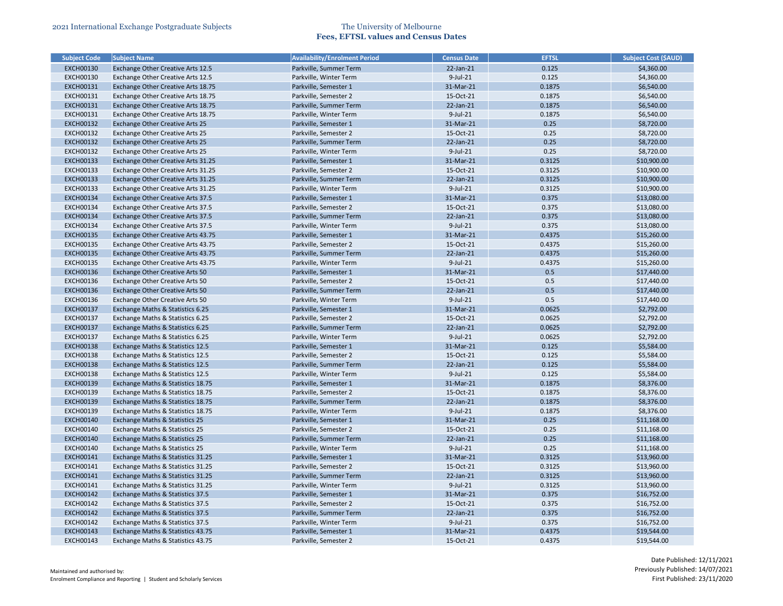| <b>Subject Code</b>                  | <b>Subject Name</b>                                                  | <b>Availability/Enrolment Period</b>             | <b>Census Date</b>     | <b>EFTSL</b>     | <b>Subject Cost (\$AUD)</b> |
|--------------------------------------|----------------------------------------------------------------------|--------------------------------------------------|------------------------|------------------|-----------------------------|
| <b>EXCH00130</b>                     | Exchange Other Creative Arts 12.5                                    | Parkville, Summer Term                           | 22-Jan-21              | 0.125            | \$4,360.00                  |
| EXCH00130                            | Exchange Other Creative Arts 12.5                                    | Parkville, Winter Term                           | 9-Jul-21               | 0.125            | \$4,360.00                  |
| <b>EXCH00131</b>                     | Exchange Other Creative Arts 18.75                                   | Parkville, Semester 1                            | 31-Mar-21              | 0.1875           | \$6,540.00                  |
| <b>EXCH00131</b>                     | Exchange Other Creative Arts 18.75                                   | Parkville, Semester 2                            | 15-Oct-21              | 0.1875           | \$6,540.00                  |
| <b>EXCH00131</b>                     | Exchange Other Creative Arts 18.75                                   | Parkville, Summer Term                           | 22-Jan-21              | 0.1875           | \$6,540.00                  |
| <b>EXCH00131</b>                     | Exchange Other Creative Arts 18.75                                   | Parkville, Winter Term                           | 9-Jul-21               | 0.1875           | \$6,540.00                  |
| <b>EXCH00132</b>                     | <b>Exchange Other Creative Arts 25</b>                               | Parkville, Semester 1                            | 31-Mar-21              | 0.25             | \$8,720.00                  |
| <b>EXCH00132</b>                     | Exchange Other Creative Arts 25                                      | Parkville, Semester 2                            | 15-Oct-21              | 0.25             | \$8,720.00                  |
| <b>EXCH00132</b>                     | <b>Exchange Other Creative Arts 25</b>                               | Parkville, Summer Term                           | 22-Jan-21              | 0.25             | \$8,720.00                  |
| <b>EXCH00132</b>                     | Exchange Other Creative Arts 25                                      | Parkville, Winter Term                           | $9$ -Jul-21            | 0.25             | \$8,720.00                  |
| <b>EXCH00133</b>                     | Exchange Other Creative Arts 31.25                                   | Parkville, Semester 1                            | 31-Mar-21              | 0.3125           | \$10,900.00                 |
| <b>EXCH00133</b>                     | Exchange Other Creative Arts 31.25                                   | Parkville, Semester 2                            | 15-Oct-21              | 0.3125           | \$10,900.00                 |
| <b>EXCH00133</b>                     | Exchange Other Creative Arts 31.25                                   | Parkville, Summer Term                           | 22-Jan-21              | 0.3125           | \$10,900.00                 |
| <b>EXCH00133</b>                     | Exchange Other Creative Arts 31.25                                   | Parkville, Winter Term                           | $9$ -Jul-21            | 0.3125           | \$10,900.00                 |
| <b>EXCH00134</b>                     | Exchange Other Creative Arts 37.5                                    | Parkville, Semester 1                            | 31-Mar-21              | 0.375            | \$13,080.00                 |
| <b>EXCH00134</b>                     | Exchange Other Creative Arts 37.5                                    | Parkville, Semester 2                            | 15-Oct-21              | 0.375            | \$13,080.00                 |
| <b>EXCH00134</b>                     | Exchange Other Creative Arts 37.5                                    | Parkville, Summer Term                           | 22-Jan-21              | 0.375            | \$13,080.00                 |
| <b>EXCH00134</b>                     | Exchange Other Creative Arts 37.5                                    | Parkville, Winter Term                           | $9$ -Jul-21            | 0.375            | \$13,080.00                 |
| <b>EXCH00135</b>                     | Exchange Other Creative Arts 43.75                                   | Parkville, Semester 1                            | 31-Mar-21              | 0.4375           | \$15,260.00                 |
| <b>EXCH00135</b>                     | Exchange Other Creative Arts 43.75                                   | Parkville, Semester 2                            | 15-Oct-21              | 0.4375           | \$15,260.00                 |
| <b>EXCH00135</b>                     | Exchange Other Creative Arts 43.75                                   | Parkville, Summer Term                           | 22-Jan-21              | 0.4375           | \$15,260.00                 |
| <b>EXCH00135</b>                     | Exchange Other Creative Arts 43.75                                   | Parkville, Winter Term                           | 9-Jul-21               | 0.4375           | \$15,260.00                 |
| <b>EXCH00136</b>                     | Exchange Other Creative Arts 50                                      | Parkville, Semester 1                            | 31-Mar-21              | 0.5              | \$17,440.00                 |
| <b>EXCH00136</b>                     | Exchange Other Creative Arts 50                                      | Parkville, Semester 2                            | 15-Oct-21              | 0.5              | \$17,440.00                 |
| <b>EXCH00136</b>                     |                                                                      |                                                  | 22-Jan-21              | 0.5              | \$17,440.00                 |
| <b>EXCH00136</b>                     | Exchange Other Creative Arts 50                                      | Parkville, Summer Term<br>Parkville, Winter Term | 9-Jul-21               | 0.5              |                             |
| <b>EXCH00137</b>                     | Exchange Other Creative Arts 50                                      |                                                  | 31-Mar-21              | 0.0625           | \$17,440.00<br>\$2,792.00   |
|                                      | Exchange Maths & Statistics 6.25                                     | Parkville, Semester 1                            |                        |                  |                             |
| <b>EXCH00137</b>                     | Exchange Maths & Statistics 6.25                                     | Parkville, Semester 2                            | 15-Oct-21<br>22-Jan-21 | 0.0625<br>0.0625 | \$2,792.00                  |
| <b>EXCH00137</b><br><b>EXCH00137</b> | Exchange Maths & Statistics 6.25                                     | Parkville, Summer Term<br>Parkville, Winter Term | 9-Jul-21               | 0.0625           | \$2,792.00                  |
| <b>EXCH00138</b>                     | Exchange Maths & Statistics 6.25<br>Exchange Maths & Statistics 12.5 | Parkville, Semester 1                            | 31-Mar-21              | 0.125            | \$2,792.00<br>\$5,584.00    |
|                                      |                                                                      |                                                  |                        |                  |                             |
| <b>EXCH00138</b>                     | Exchange Maths & Statistics 12.5                                     | Parkville, Semester 2                            | 15-Oct-21              | 0.125            | \$5,584.00                  |
| <b>EXCH00138</b>                     | Exchange Maths & Statistics 12.5                                     | Parkville, Summer Term                           | 22-Jan-21              | 0.125            | \$5,584.00                  |
| <b>EXCH00138</b>                     | Exchange Maths & Statistics 12.5                                     | Parkville, Winter Term                           | $9$ -Jul-21            | 0.125            | \$5,584.00                  |
| <b>EXCH00139</b>                     | Exchange Maths & Statistics 18.75                                    | Parkville, Semester 1                            | 31-Mar-21              | 0.1875           | \$8,376.00                  |
| <b>EXCH00139</b>                     | Exchange Maths & Statistics 18.75                                    | Parkville, Semester 2                            | 15-Oct-21              | 0.1875           | \$8,376.00                  |
| <b>EXCH00139</b>                     | Exchange Maths & Statistics 18.75                                    | Parkville, Summer Term                           | 22-Jan-21              | 0.1875           | \$8,376.00                  |
| <b>EXCH00139</b>                     | Exchange Maths & Statistics 18.75                                    | Parkville, Winter Term                           | 9-Jul-21               | 0.1875           | \$8,376.00                  |
| <b>EXCH00140</b>                     | Exchange Maths & Statistics 25                                       | Parkville, Semester 1                            | 31-Mar-21              | 0.25             | \$11,168.00                 |
| <b>EXCH00140</b>                     | Exchange Maths & Statistics 25                                       | Parkville, Semester 2                            | 15-Oct-21              | 0.25             | \$11,168.00                 |
| <b>EXCH00140</b>                     | Exchange Maths & Statistics 25                                       | Parkville, Summer Term                           | 22-Jan-21              | 0.25             | \$11,168.00                 |
| <b>EXCH00140</b>                     | Exchange Maths & Statistics 25                                       | Parkville, Winter Term                           | 9-Jul-21               | 0.25             | \$11,168.00                 |
| <b>EXCH00141</b>                     | Exchange Maths & Statistics 31.25                                    | Parkville, Semester 1                            | 31-Mar-21              | 0.3125           | \$13,960.00                 |
| <b>EXCH00141</b>                     | Exchange Maths & Statistics 31.25                                    | Parkville, Semester 2                            | 15-Oct-21              | 0.3125           | \$13,960.00                 |
| <b>EXCH00141</b>                     | Exchange Maths & Statistics 31.25                                    | Parkville, Summer Term                           | 22-Jan-21              | 0.3125           | \$13,960.00                 |
| <b>EXCH00141</b>                     | Exchange Maths & Statistics 31.25                                    | Parkville, Winter Term                           | 9-Jul-21               | 0.3125           | \$13,960.00                 |
| <b>EXCH00142</b>                     | Exchange Maths & Statistics 37.5                                     | Parkville, Semester 1                            | 31-Mar-21              | 0.375            | \$16,752.00                 |
| <b>EXCH00142</b>                     | Exchange Maths & Statistics 37.5                                     | Parkville, Semester 2                            | 15-Oct-21              | 0.375            | \$16,752.00                 |
| <b>EXCH00142</b>                     | Exchange Maths & Statistics 37.5                                     | Parkville, Summer Term                           | 22-Jan-21              | 0.375            | \$16,752.00                 |
| <b>EXCH00142</b>                     | Exchange Maths & Statistics 37.5                                     | Parkville, Winter Term                           | 9-Jul-21               | 0.375            | \$16,752.00                 |
| <b>EXCH00143</b>                     | Exchange Maths & Statistics 43.75                                    | Parkville, Semester 1                            | 31-Mar-21              | 0.4375           | \$19,544.00                 |
| <b>EXCH00143</b>                     | Exchange Maths & Statistics 43.75                                    | Parkville, Semester 2                            | 15-Oct-21              | 0.4375           | \$19,544.00                 |

| <b>Subject Cost (\$AUD)</b> |
|-----------------------------|
| \$4,360.00                  |
| \$4,360.00                  |
| \$6,540.00                  |
| \$6,540.00                  |
| \$6,540.00                  |
| \$6,540.00                  |
| \$8,720.00                  |
| \$8,720.00                  |
| \$8,720.00                  |
| \$8,720.00                  |
| \$10,900.00                 |
| \$10,900.00                 |
| \$10,900.00                 |
| \$10,900.00                 |
| \$13,080.00                 |
| \$13,080.00                 |
| \$13,080.00                 |
| \$13,080.00                 |
| \$15,260.00                 |
| \$15,260.00                 |
| \$15,260.00                 |
| \$15,260.00                 |
| \$17,440.00                 |
| \$17,440.00                 |
| \$17,440.00                 |
| \$17,440.00                 |
| \$2,792.00                  |
| \$2,792.00                  |
| \$2,792.00                  |
| \$2,792.00                  |
| \$5,584.00                  |
| \$5,584.00                  |
| \$5,584.00                  |
| \$5,584.00                  |
| \$8,376.00                  |
| \$8,376.00                  |
| \$8,376.00                  |
| \$8,376.00                  |
| \$11,168.00                 |
| \$11,168.00                 |
| \$11,168.00                 |
| \$11,168.00                 |
| \$13,960.00                 |
| \$13,960.00                 |
|                             |
| \$13,960.00                 |
| \$13,960.00                 |
| \$16,752.00                 |
| \$16,752.00                 |
| \$16,752.00                 |
| \$16,752.00                 |
| \$19,544.00                 |
| \$19,544.00                 |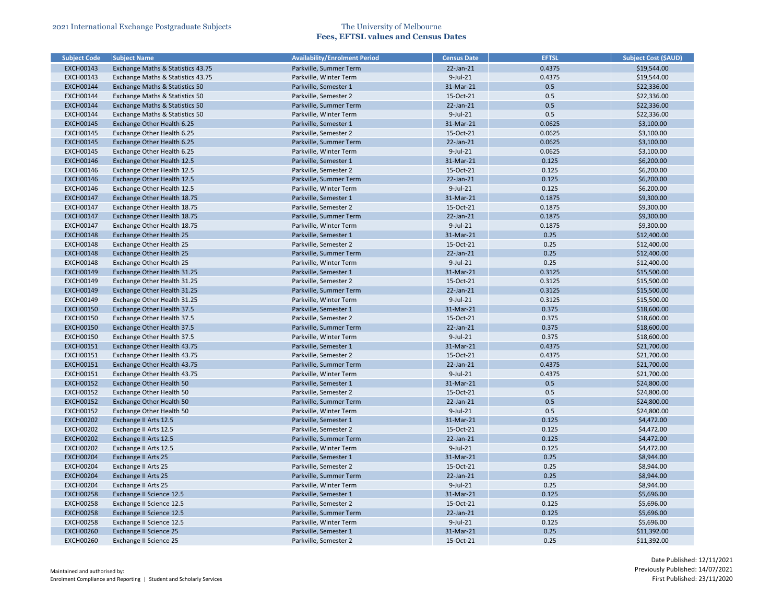| <b>Subject Code</b> | <b>Subject Name</b>                                       | <b>Availability/Enrolment Period</b> | <b>Census Date</b> | <b>EFTSL</b> | <b>Subject Cost (\$AUD)</b> |
|---------------------|-----------------------------------------------------------|--------------------------------------|--------------------|--------------|-----------------------------|
| <b>EXCH00143</b>    | Exchange Maths & Statistics 43.75                         | Parkville, Summer Term               | $22$ -Jan- $21$    | 0.4375       | \$19,544.00                 |
| <b>EXCH00143</b>    | Exchange Maths & Statistics 43.75                         | Parkville, Winter Term               | $9$ -Jul-21        | 0.4375       | \$19,544.00                 |
| <b>EXCH00144</b>    | <b>Exchange Maths &amp; Statistics 50</b>                 | Parkville, Semester 1                | 31-Mar-21          | 0.5          | \$22,336.00                 |
| <b>EXCH00144</b>    | Exchange Maths & Statistics 50                            | Parkville, Semester 2                | 15-Oct-21          | 0.5          | \$22,336.00                 |
| <b>EXCH00144</b>    | <b>Exchange Maths &amp; Statistics 50</b>                 | Parkville, Summer Term               | $22$ -Jan- $21$    | 0.5          | \$22,336.00                 |
| <b>EXCH00144</b>    | Exchange Maths & Statistics 50                            | Parkville, Winter Term               | 9-Jul-21           | 0.5          | \$22,336.00                 |
| <b>EXCH00145</b>    | Exchange Other Health 6.25                                | Parkville, Semester 1                | 31-Mar-21          | 0.0625       | \$3,100.00                  |
| <b>EXCH00145</b>    | Exchange Other Health 6.25                                | Parkville, Semester 2                | 15-Oct-21          | 0.0625       | \$3,100.00                  |
| <b>EXCH00145</b>    | Exchange Other Health 6.25                                | Parkville, Summer Term               | $22$ -Jan- $21$    | 0.0625       | \$3,100.00                  |
| <b>EXCH00145</b>    | Exchange Other Health 6.25                                | Parkville, Winter Term               | 9-Jul-21           | 0.0625       | \$3,100.00                  |
| <b>EXCH00146</b>    | Exchange Other Health 12.5                                | Parkville, Semester 1                | 31-Mar-21          | 0.125        | \$6,200.00                  |
| <b>EXCH00146</b>    | Exchange Other Health 12.5                                | Parkville, Semester 2                | 15-Oct-21          | 0.125        | \$6,200.00                  |
| <b>EXCH00146</b>    | Exchange Other Health 12.5                                | Parkville, Summer Term               | 22-Jan-21          | 0.125        | \$6,200.00                  |
| <b>EXCH00146</b>    | Exchange Other Health 12.5                                | Parkville, Winter Term               | 9-Jul-21           | 0.125        | \$6,200.00                  |
| <b>EXCH00147</b>    | Exchange Other Health 18.75                               | Parkville, Semester 1                | 31-Mar-21          | 0.1875       | \$9,300.00                  |
| <b>EXCH00147</b>    | Exchange Other Health 18.75                               | Parkville, Semester 2                | 15-Oct-21          | 0.1875       | \$9,300.00                  |
| <b>EXCH00147</b>    | Exchange Other Health 18.75                               | Parkville, Summer Term               | 22-Jan-21          | 0.1875       | \$9,300.00                  |
| <b>EXCH00147</b>    | Exchange Other Health 18.75                               | Parkville, Winter Term               | $9$ -Jul-21        | 0.1875       | \$9,300.00                  |
| <b>EXCH00148</b>    | <b>Exchange Other Health 25</b>                           | Parkville, Semester 1                | 31-Mar-21          | 0.25         | \$12,400.00                 |
| <b>EXCH00148</b>    | Exchange Other Health 25                                  | Parkville, Semester 2                | 15-Oct-21          | 0.25         | \$12,400.00                 |
| <b>EXCH00148</b>    | <b>Exchange Other Health 25</b>                           | Parkville, Summer Term               | 22-Jan-21          | 0.25         | \$12,400.00                 |
| <b>EXCH00148</b>    | Exchange Other Health 25                                  | Parkville, Winter Term               | 9-Jul-21           | 0.25         | \$12,400.00                 |
| <b>EXCH00149</b>    | Exchange Other Health 31.25                               | Parkville, Semester 1                | 31-Mar-21          | 0.3125       | \$15,500.00                 |
| <b>EXCH00149</b>    | Exchange Other Health 31.25                               | Parkville, Semester 2                | 15-Oct-21          | 0.3125       | \$15,500.00                 |
| <b>EXCH00149</b>    | Exchange Other Health 31.25                               | Parkville, Summer Term               | 22-Jan-21          | 0.3125       | \$15,500.00                 |
| <b>EXCH00149</b>    | Exchange Other Health 31.25                               | Parkville, Winter Term               | 9-Jul-21           | 0.3125       | \$15,500.00                 |
| <b>EXCH00150</b>    |                                                           |                                      | 31-Mar-21          | 0.375        |                             |
|                     | Exchange Other Health 37.5                                | Parkville, Semester 1                |                    |              | \$18,600.00                 |
| <b>EXCH00150</b>    | Exchange Other Health 37.5                                | Parkville, Semester 2                | 15-Oct-21          | 0.375        | \$18,600.00                 |
| <b>EXCH00150</b>    | Exchange Other Health 37.5                                | Parkville, Summer Term               | $22$ -Jan- $21$    | 0.375        | \$18,600.00                 |
| <b>EXCH00150</b>    | Exchange Other Health 37.5<br>Exchange Other Health 43.75 | Parkville, Winter Term               | 9-Jul-21           | 0.375        | \$18,600.00                 |
| <b>EXCH00151</b>    |                                                           | Parkville, Semester 1                | 31-Mar-21          | 0.4375       | \$21,700.00                 |
| <b>EXCH00151</b>    | Exchange Other Health 43.75                               | Parkville, Semester 2                | 15-Oct-21          | 0.4375       | \$21,700.00                 |
| <b>EXCH00151</b>    | Exchange Other Health 43.75                               | Parkville, Summer Term               | 22-Jan-21          | 0.4375       | \$21,700.00                 |
| <b>EXCH00151</b>    | Exchange Other Health 43.75                               | Parkville, Winter Term               | $9$ -Jul-21        | 0.4375       | \$21,700.00                 |
| <b>EXCH00152</b>    | <b>Exchange Other Health 50</b>                           | Parkville, Semester 1                | 31-Mar-21          | 0.5          | \$24,800.00                 |
| <b>EXCH00152</b>    | Exchange Other Health 50                                  | Parkville, Semester 2                | 15-Oct-21          | 0.5          | \$24,800.00                 |
| <b>EXCH00152</b>    | <b>Exchange Other Health 50</b>                           | Parkville, Summer Term               | $22$ -Jan- $21$    | 0.5          | \$24,800.00                 |
| <b>EXCH00152</b>    | Exchange Other Health 50                                  | Parkville, Winter Term               | $9$ -Jul-21        | 0.5          | \$24,800.00                 |
| <b>EXCH00202</b>    | Exchange II Arts 12.5                                     | Parkville, Semester 1                | 31-Mar-21          | 0.125        | \$4,472.00                  |
| <b>EXCH00202</b>    | Exchange II Arts 12.5                                     | Parkville, Semester 2                | 15-Oct-21          | 0.125        | \$4,472.00                  |
| <b>EXCH00202</b>    | Exchange II Arts 12.5                                     | Parkville, Summer Term               | 22-Jan-21          | 0.125        | \$4,472.00                  |
| <b>EXCH00202</b>    | Exchange II Arts 12.5                                     | Parkville, Winter Term               | 9-Jul-21           | 0.125        | \$4,472.00                  |
| <b>EXCH00204</b>    | <b>Exchange II Arts 25</b>                                | Parkville, Semester 1                | 31-Mar-21          | 0.25         | \$8,944.00                  |
| <b>EXCH00204</b>    | Exchange II Arts 25                                       | Parkville, Semester 2                | 15-Oct-21          | 0.25         | \$8,944.00                  |
| <b>EXCH00204</b>    | <b>Exchange II Arts 25</b>                                | Parkville, Summer Term               | $22$ -Jan- $21$    | 0.25         | \$8,944.00                  |
| <b>EXCH00204</b>    | Exchange II Arts 25                                       | Parkville, Winter Term               | 9-Jul-21           | 0.25         | \$8,944.00                  |
| <b>EXCH00258</b>    | Exchange II Science 12.5                                  | Parkville, Semester 1                | 31-Mar-21          | 0.125        | \$5,696.00                  |
| <b>EXCH00258</b>    | Exchange II Science 12.5                                  | Parkville, Semester 2                | 15-Oct-21          | 0.125        | \$5,696.00                  |
| <b>EXCH00258</b>    | Exchange II Science 12.5                                  | Parkville, Summer Term               | $22$ -Jan- $21$    | 0.125        | \$5,696.00                  |
| <b>EXCH00258</b>    | Exchange II Science 12.5                                  | Parkville, Winter Term               | $9$ -Jul-21        | 0.125        | \$5,696.00                  |
| <b>EXCH00260</b>    | <b>Exchange II Science 25</b>                             | Parkville, Semester 1                | 31-Mar-21          | 0.25         | \$11,392.00                 |
| <b>EXCH00260</b>    | Exchange II Science 25                                    | Parkville, Semester 2                | 15-Oct-21          | 0.25         | \$11,392.00                 |

| Subject Cost (\$AUD) |
|----------------------|
| \$19,544.00          |
| \$19,544.00          |
| \$22,336.00          |
| \$22,336.00          |
| \$22,336.00          |
| \$22,336.00          |
| \$3,100.00           |
| \$3,100.00           |
| \$3,100.00           |
| \$3,100.00           |
| \$6,200.00           |
| \$6,200.00           |
| \$6,200.00           |
| \$6,200.00           |
| \$9,300.00           |
| \$9,300.00           |
| \$9,300.00           |
| \$9,300.00           |
| \$12,400.00          |
| \$12,400.00          |
| \$12,400.00          |
| \$12,400.00          |
| \$15,500.00          |
| \$15,500.00          |
| \$15,500.00          |
| \$15,500.00          |
| \$18,600.00          |
| \$18,600.00          |
| \$18,600.00          |
| \$18,600.00          |
| \$21,700.00          |
| \$21,700.00          |
| \$21,700.00          |
| \$21,700.00          |
| \$24,800.00          |
| \$24,800.00          |
| \$24,800.00          |
| \$24,800.00          |
|                      |
| \$4,472.00           |
| \$4,472.00           |
| \$4,472.00           |
| \$4,472.00           |
| \$8,944.00           |
| \$8,944.00           |
| \$8,944.00           |
| \$8,944.00           |
| \$5,696.00           |
| \$5,696.00           |
| \$5,696.00           |
| \$5,696.00           |
| \$11,392.00          |
| \$11,392.00          |
|                      |